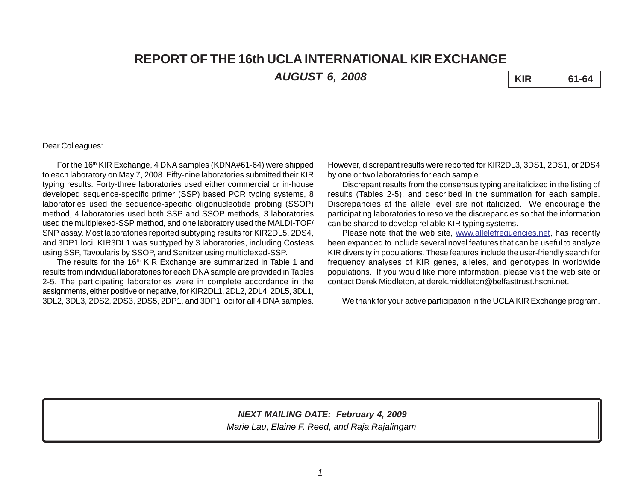# **REPORT OF THE 16th UCLA INTERNATIONAL KIR EXCHANGE** *AUGUST 6, 2008* **KIR 61-64**

## Dear Colleagues:

For the 16<sup>th</sup> KIR Exchange, 4 DNA samples (KDNA#61-64) were shipped to each laboratory on May 7, 2008. Fifty-nine laboratories submitted their KIR typing results. Forty-three laboratories used either commercial or in-house developed sequence-specific primer (SSP) based PCR typing systems, 8 laboratories used the sequence-specific oligonucleotide probing (SSOP) method, 4 laboratories used both SSP and SSOP methods, 3 laboratories used the multiplexed-SSP method, and one laboratory used the MALDI-TOF/ SNP assay. Most laboratories reported subtyping results for KIR2DL5, 2DS4, and 3DP1 loci. KIR3DL1 was subtyped by 3 laboratories, including Costeas using SSP, Tavoularis by SSOP, and Senitzer using multiplexed-SSP.

The results for the 16<sup>th</sup> KIR Exchange are summarized in Table 1 and results from individual laboratories for each DNA sample are provided in Tables 2-5. The participating laboratories were in complete accordance in the assignments, either positive or negative, for KIR2DL1, 2DL2, 2DL4, 2DL5, 3DL1, 3DL2, 3DL3, 2DS2, 2DS3, 2DS5, 2DP1, and 3DP1 loci for all 4 DNA samples. However, discrepant results were reported for KIR2DL3, 3DS1, 2DS1, or 2DS4 by one or two laboratories for each sample.

Discrepant results from the consensus typing are italicized in the listing of results (Tables 2-5), and described in the summation for each sample. Discrepancies at the allele level are not italicized. We encourage the participating laboratories to resolve the discrepancies so that the information can be shared to develop reliable KIR typing systems.

Please note that the web site, www.allelefrequencies.net, has recently been expanded to include several novel features that can be useful to analyze KIR diversity in populations. These features include the user-friendly search for frequency analyses of KIR genes, alleles, and genotypes in worldwide populations. If you would like more information, please visit the web site or contact Derek Middleton, at derek.middleton@belfasttrust.hscni.net.

We thank for your active participation in the UCLA KIR Exchange program.

## *Marie Lau, Elaine F. Reed, and Raja Rajalingam NEXT MAILING DATE: February 4, 2009*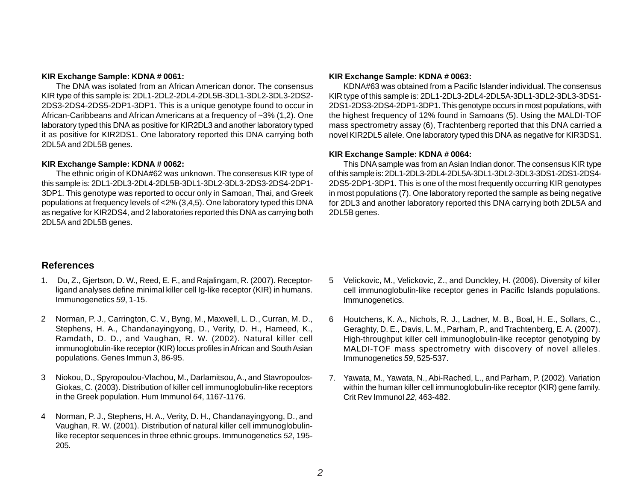## **KIR Exchange Sample: KDNA # 0061:**

The DNA was isolated from an African American donor. The consensus KIR type of this sample is: 2DL1-2DL2-2DL4-2DL5B-3DL1-3DL2-3DL3-2DS2- 2DS3-2DS4-2DS5-2DP1-3DP1. This is a unique genotype found to occur in African-Caribbeans and African Americans at a frequency of ~3% (1,2). One laboratory typed this DNA as positive for KIR2DL3 and another laboratory typed it as positive for KIR2DS1. One laboratory reported this DNA carrying both 2DL5A and 2DL5B genes.

## **KIR Exchange Sample: KDNA # 0062:**

The ethnic origin of KDNA#62 was unknown. The consensus KIR type of this sample is: 2DL1-2DL3-2DL4-2DL5B-3DL1-3DL2-3DL3-2DS3-2DS4-2DP1- 3DP1. This genotype was reported to occur only in Samoan, Thai, and Greek populations at frequency levels of <2% (3,4,5). One laboratory typed this DNA as negative for KIR2DS4, and 2 laboratories reported this DNA as carrying both 2DL5A and 2DL5B genes.

## **References**

- 1. Du, Z., Gjertson, D. W., Reed, E. F., and Rajalingam, R. (2007). Receptorligand analyses define minimal killer cell Ig-like receptor (KIR) in humans. Immunogenetics *59*, 1-15.
- 2 Norman, P. J., Carrington, C. V., Byng, M., Maxwell, L. D., Curran, M. D., Stephens, H. A., Chandanayingyong, D., Verity, D. H., Hameed, K., Ramdath, D. D., and Vaughan, R. W. (2002). Natural killer cell immunoglobulin-like receptor (KIR) locus profiles in African and South Asian populations. Genes Immun *3*, 86-95.
- 3 Niokou, D., Spyropoulou-Vlachou, M., Darlamitsou, A., and Stavropoulos-Giokas, C. (2003). Distribution of killer cell immunoglobulin-like receptors in the Greek population. Hum Immunol *64*, 1167-1176.
- 4 Norman, P. J., Stephens, H. A., Verity, D. H., Chandanayingyong, D., and Vaughan, R. W. (2001). Distribution of natural killer cell immunoglobulinlike receptor sequences in three ethnic groups. Immunogenetics *52*, 195- 205.

### **KIR Exchange Sample: KDNA # 0063:**

KDNA#63 was obtained from a Pacific Islander individual. The consensus KIR type of this sample is: 2DL1-2DL3-2DL4-2DL5A-3DL1-3DL2-3DL3-3DS1- 2DS1-2DS3-2DS4-2DP1-3DP1. This genotype occurs in most populations, with the highest frequency of 12% found in Samoans (5). Using the MALDI-TOF mass spectrometry assay (6), Trachtenberg reported that this DNA carried a novel KIR2DL5 allele. One laboratory typed this DNA as negative for KIR3DS1.

## **KIR Exchange Sample: KDNA # 0064:**

This DNA sample was from an Asian Indian donor. The consensus KIR type of this sample is: 2DL1-2DL3-2DL4-2DL5A-3DL1-3DL2-3DL3-3DS1-2DS1-2DS4- 2DS5-2DP1-3DP1. This is one of the most frequently occurring KIR genotypes in most populations (7). One laboratory reported the sample as being negative for 2DL3 and another laboratory reported this DNA carrying both 2DL5A and 2DL5B genes.

- 5 Velickovic, M., Velickovic, Z., and Dunckley, H. (2006). Diversity of killer cell immunoglobulin-like receptor genes in Pacific Islands populations. Immunogenetics.
- 6 Houtchens, K. A., Nichols, R. J., Ladner, M. B., Boal, H. E., Sollars, C., Geraghty, D. E., Davis, L. M., Parham, P., and Trachtenberg, E. A. (2007). High-throughput killer cell immunoglobulin-like receptor genotyping by MALDI-TOF mass spectrometry with discovery of novel alleles. Immunogenetics *59*, 525-537.
- 7. Yawata, M., Yawata, N., Abi-Rached, L., and Parham, P. (2002). Variation within the human killer cell immunoglobulin-like receptor (KIR) gene family. Crit Rev Immunol *22*, 463-482.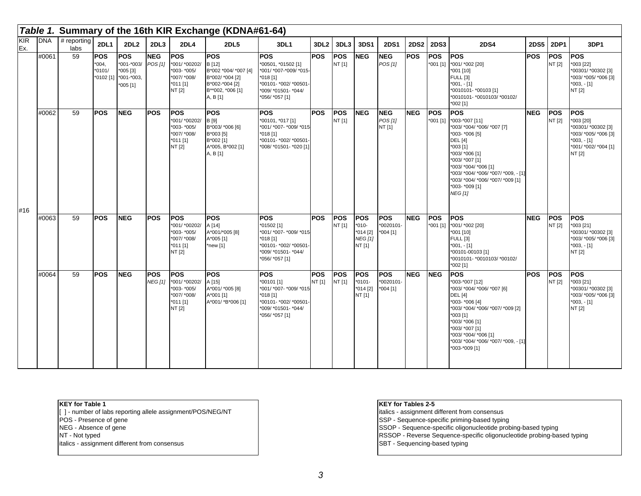|            |            |                       |                                                |                                                                           |                              |                                                                                   | Table 1. Summary of the 16th KIR Exchange (KDNA#61-64)                                                            |                                                                                                                                           |                      |                      |                                                                 |                                       |             |                        |                                                                                                                                                                                                                                                                                       |            |                      |                                                                                                                         |
|------------|------------|-----------------------|------------------------------------------------|---------------------------------------------------------------------------|------------------------------|-----------------------------------------------------------------------------------|-------------------------------------------------------------------------------------------------------------------|-------------------------------------------------------------------------------------------------------------------------------------------|----------------------|----------------------|-----------------------------------------------------------------|---------------------------------------|-------------|------------------------|---------------------------------------------------------------------------------------------------------------------------------------------------------------------------------------------------------------------------------------------------------------------------------------|------------|----------------------|-------------------------------------------------------------------------------------------------------------------------|
| KIR<br>Ex. | <b>DNA</b> | $#$ reporting<br>labs | 2DL1                                           | 2DL <sub>2</sub>                                                          | 2DL3                         | 2DL4                                                                              | <b>2DL5</b>                                                                                                       | 3DL1                                                                                                                                      | 3DL <sub>2</sub>     | 3DL3                 | 3DS1                                                            | <b>2DS1</b>                           | <b>2DS2</b> | <b>2DS3</b>            | <b>2DS4</b>                                                                                                                                                                                                                                                                           | 2DS5       | <b>2DP1</b>          | 3DP1                                                                                                                    |
|            | #0061      | 59                    | <b>POS</b><br>$*004,$<br>$*0101/$<br>*0102 [1] | <b>POS</b><br>*001-*003/ POS [1]<br>$*005$ [3]<br>*001-*003,<br>$*005[1]$ | <b>NEG</b>                   | <b>POS</b><br>*001/ *00202/<br>*003- *005/<br>*007/ *008/<br>$*011$ [1]<br>NT [2] | <b>POS</b><br>B [12]<br>B*002 *004/ *007 [4]<br>B*002/ *004 [2]<br>B*002-*004 [2]<br>B**002, *006 [1]<br>A, B [1] | <b>POS</b><br>*00501, *01502 [1]<br>*001/ *007-*009/ *015-<br>$*018[1]$<br>*00101- *002/ *00501-<br>*009/ *01501- *044/<br>*056/ *057 [1] | <b>POS</b>           | <b>POS</b><br>NT [1] | <b>NEG</b>                                                      | <b>NEG</b><br>POS[1]                  | <b>POS</b>  | <b>POS</b>             | <b>POS</b><br>*001 [1] *001/ *002 [20]<br>001 [10]<br><b>FULL [3]</b><br>$*001, -[1]$<br>*0010101- *00103 [1]<br>*0010101- *0010103/ *00102/<br>002 [1]                                                                                                                               | <b>POS</b> | <b>POS</b><br>NT [2] | <b>POS</b><br>*003 [22]<br>*00301/ *00302 [3]<br>*003/ *005/ *006 [3]<br>$*003, -[1]$<br>NT [2]                         |
|            | #0062      | 59                    | <b>POS</b>                                     | <b>NEG</b>                                                                | <b>POS</b>                   | <b>POS</b><br>*001/ *00202/<br>*003- *005/<br>*007/ *008/<br>$*011$ [1]<br>NT [2] | <b>POS</b><br>B [9]<br>B*003/ *006 [6]<br>B*003 [5]<br>B*002 [1]<br>A*005, B*002 [1]<br>A, B [1]                  | <b>POS</b><br>*00101, *017 [1]<br>*001/ *007- *009/ *015<br>*018 [1]<br>*00101- *002/ *00501<br>*008/ *01501- *020 [1]                    | <b>POS</b>           | <b>POS</b><br>NT [1] | <b>NEG</b>                                                      | <b>NEG</b><br>POS[1]<br>NT [1]        | <b>NEG</b>  | <b>POS</b><br>*001 [1] | <b>POS</b><br>*003-*007 [11]<br>*003/ *004/ *006/ *007 [7]<br>*003- *006 [5]<br><b>DEL</b> [4]<br>*003 [1]<br>*003/ *006 [1]<br>*003/ *007 [1]<br>*003/ *004/ *006 [1]<br>*003/ *004/ *006/ *007/ *009, - [1]<br>*003/ *004/ *006/ *007/ *009 [1]<br>*003- *009 [1]<br><b>NEG [1]</b> | <b>NEG</b> | <b>POS</b><br>NT [2] | <b>POS</b><br>*003 [20]<br>*00301/ *00302 [3]<br>*003/ *005/ *006 [3]<br>$*003, -[1]$<br>*001/ *002/ *004 [1]<br>NT [2] |
| #16        | #0063      | 59                    | <b>POS</b>                                     | NEG.                                                                      | <b>POS</b>                   | <b>POS</b><br>*001/ *00202/<br>*003- *005/<br>*007/ *008/<br>$*011$ [1]<br>NT [2] | <b>POS</b><br>A [14]<br>A*001/*005 [8]<br>A*005 [1]<br>*new [1]                                                   | <b>POS</b><br>*01502 [1]<br>*001/ *007- *009/ *015<br>*018 [1]<br>'00101- *002/ *00501-<br>'009/ *01501- *044/<br>*056/ *057 [1]          | <b>POS</b>           | <b>POS</b><br>NT [1] | <b>POS</b><br>$*010-$<br>$*014$ [2]<br><b>NEG</b> [1]<br>NT [1] | <b>POS</b><br>*0020101-<br>$*004$ [1] | <b>NEG</b>  | <b>POS</b>             | <b>POS</b><br>*001 [1] *001/ *002 [20]<br>*001 [10]<br><b>FULL [3]</b><br>$*001, -[1]$<br>*00101-00103 [1]<br>*0010101- *0010103/ *00102/<br>*002 [1]                                                                                                                                 | <b>NEG</b> | <b>POS</b><br>NT [2] | <b>POS</b><br>*003 [21]<br>*00301/*00302 [3]<br>*003/ *005/ *006 [3]<br>$*003, -[1]$<br>NT [2]                          |
|            | #0064      | 59                    | <b>POS</b>                                     | <b>NEG</b>                                                                | <b>POS</b><br><b>NEG [1]</b> | <b>POS</b><br>*001/ *00202/<br>*003- *005/<br>*007/ *008/<br>$*011$ [1]<br>NT [2] | <b>POS</b><br>A [15]<br>A*001/ *005 [8]<br>A*001 [1]<br>A*001/ *B*006 [1]                                         | <b>POS</b><br>*00101 [1]<br>*001/ *007- *009/ *015<br>*018 [1]<br>*00101- *002/ *00501<br>*009/ *01501- *044/<br>*056/ *057 [1]           | <b>POS</b><br>NT [1] | <b>POS</b><br>NT [1] | <b>POS</b><br>$*0101 -$<br>$*014$ [2]<br>NT [1]                 | <b>POS</b><br>*0020101-<br>$*004$ [1] | <b>NEG</b>  | <b>NEG</b>             | <b>POS</b><br>*003-*007 [12]<br>003/ *004/ *006/ *007 [6]<br><b>DEL [4]</b><br>*003- *006 [4]<br>*003/ *004/ *006/ *007/ *009 [2]<br>$*003$ [1]<br>*003/ *006 [1]<br>*003/ *007 [1]<br>*003/ *004/ *006 [1]<br>*003/ *004/ *006/ *007/ *009, - [1]<br>*003-*009 [1]                   | <b>POS</b> | <b>POS</b><br>NT [2] | <b>POS</b><br>*003 [21]<br>*00301/ *00302 [3]<br>*003/ *005/ *006 [3]<br>$*003, -[1]$<br>NT [2]                         |

#### **KEY for Table 1**

[ ] - number of labs reporting allele assignment/POS/NEG/NT

POS - Presence of gene

NEG - Absence of gene

NT - Not typed

italics - assignment different from consensus

## **KEY for Tables 2-5**

italics - assignment different from consensus

SSP - Sequence-specific priming-based typing

SSOP - Sequence-specific oligonucleotide probing-based typing

RSSOP - Reverse Sequence-specific oligonucleotide probing-based typing

SBT - Sequencing-based typing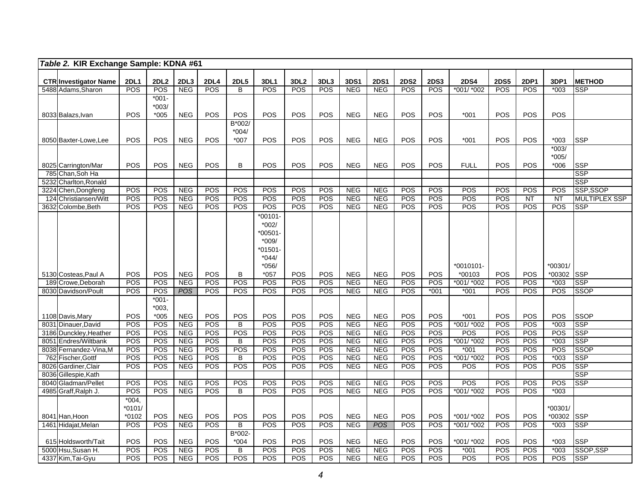|      | Table 2. KIR Exchange Sample: KDNA #61             |                     |                         |                    |                    |                  |                                      |                                |             |                    |                           |                    |                      |                           |                    |                    |                   |                             |
|------|----------------------------------------------------|---------------------|-------------------------|--------------------|--------------------|------------------|--------------------------------------|--------------------------------|-------------|--------------------|---------------------------|--------------------|----------------------|---------------------------|--------------------|--------------------|-------------------|-----------------------------|
|      |                                                    |                     |                         |                    |                    |                  |                                      |                                |             |                    |                           |                    |                      |                           |                    |                    |                   |                             |
|      | <b>CTR Investigator Name</b><br>5488 Adams, Sharon | <b>2DL1</b><br>POS  | 2DL <sub>2</sub><br>POS | 2DL3<br><b>NEG</b> | <b>2DL4</b><br>POS | <b>2DL5</b><br>B | <b>3DL1</b><br>POS                   | 3DL <sub>2</sub><br><b>POS</b> | 3DL3<br>POS | 3DS1<br><b>NEG</b> | <b>2DS1</b><br><b>NEG</b> | <b>2DS2</b><br>POS | <b>2DS3</b><br>POS   | <b>2DS4</b><br>*001/ *002 | <b>2DS5</b><br>POS | 2DP1<br><b>POS</b> | 3DP1<br>$*003$    | <b>METHOD</b><br><b>SSP</b> |
|      |                                                    |                     | $*001-$                 |                    |                    |                  |                                      |                                |             |                    |                           |                    |                      |                           |                    |                    |                   |                             |
|      |                                                    |                     | $*003/$                 |                    |                    |                  |                                      |                                |             |                    |                           |                    |                      |                           |                    |                    |                   |                             |
|      | 8033 Balazs, Ivan                                  | POS                 | $*005$                  | <b>NEG</b>         | POS                | POS              | POS                                  | POS                            | POS         | <b>NEG</b>         | <b>NEG</b>                | POS                | POS                  | $*001$                    | POS                | POS                | POS               |                             |
|      |                                                    |                     |                         |                    |                    | B*002/           |                                      |                                |             |                    |                           |                    |                      |                           |                    |                    |                   |                             |
|      |                                                    |                     |                         |                    |                    | $*004/$          |                                      |                                |             |                    |                           |                    |                      |                           |                    |                    |                   |                             |
|      | 8050 Baxter-Lowe, Lee                              | POS                 | POS                     | <b>NEG</b>         | POS                | $*007$           | POS                                  | POS                            | POS         | <b>NEG</b>         | <b>NEG</b>                | POS                | POS                  | $*001$                    | POS                | <b>POS</b>         | $*003$            | <b>SSP</b>                  |
|      |                                                    |                     |                         |                    |                    |                  |                                      |                                |             |                    |                           |                    |                      |                           |                    |                    | $*003/$           |                             |
|      |                                                    |                     |                         |                    |                    | B                | POS                                  | POS                            | POS         |                    |                           | POS                |                      |                           | POS                |                    | $*005/$           | <b>SSP</b>                  |
|      | 8025 Carrington/Mar<br>785 Chan, Soh Ha            | POS                 | POS                     | <b>NEG</b>         | POS                |                  |                                      |                                |             | <b>NEG</b>         | <b>NEG</b>                |                    | POS                  | <b>FULL</b>               |                    | <b>POS</b>         | $*006$            | <b>SSP</b>                  |
| 5232 | Charlton, Ronald                                   |                     |                         |                    |                    |                  |                                      |                                |             |                    |                           |                    |                      |                           |                    |                    |                   | <b>SSP</b>                  |
|      | 3224 Chen, Dongfeng                                | POS                 | POS                     | <b>NEG</b>         | POS                | POS              | $\overline{POS}$                     | POS                            | POS         | <b>NEG</b>         | <b>NEG</b>                | POS                | POS                  | POS                       | POS                | <b>POS</b>         | POS               | SSP,SSOP                    |
|      | 124 Christiansen/Witt                              | POS                 | POS                     | <b>NEG</b>         | POS                | POS              | POS                                  | POS                            | POS         | <b>NEG</b>         | <b>NEG</b>                | POS                | POS                  | POS                       | POS                | NT                 | <b>NT</b>         | <b>MULTIPLEX SSP</b>        |
|      | 3632 Colombe, Beth                                 | POS                 | <b>POS</b>              | <b>NEG</b>         | POS                | <b>POS</b>       | <b>POS</b>                           | POS                            | POS         | <b>NEG</b>         | <b>NEG</b>                | <b>POS</b>         | <b>POS</b>           | POS                       | <b>POS</b>         | POS                | POS               | <b>SSP</b>                  |
|      |                                                    |                     |                         |                    |                    |                  | $*00101 -$                           |                                |             |                    |                           |                    |                      |                           |                    |                    |                   |                             |
|      |                                                    |                     |                         |                    |                    |                  | $*002/$                              |                                |             |                    |                           |                    |                      |                           |                    |                    |                   |                             |
|      |                                                    |                     |                         |                    |                    |                  | $*00501-$                            |                                |             |                    |                           |                    |                      |                           |                    |                    |                   |                             |
|      |                                                    |                     |                         |                    |                    |                  | $*009/$                              |                                |             |                    |                           |                    |                      |                           |                    |                    |                   |                             |
|      |                                                    |                     |                         |                    |                    |                  | *01501-                              |                                |             |                    |                           |                    |                      |                           |                    |                    |                   |                             |
|      |                                                    |                     |                         |                    |                    |                  | $*044/$                              |                                |             |                    |                           |                    |                      |                           |                    |                    |                   |                             |
|      |                                                    |                     |                         |                    |                    |                  | $*056/$                              |                                |             |                    |                           |                    |                      | *0010101-                 |                    |                    | *00301/           |                             |
|      | 5130 Costeas. Paul A                               | <b>POS</b>          | <b>POS</b>              | <b>NEG</b>         | POS                | B                | *057                                 | <b>POS</b>                     | <b>POS</b>  | <b>NEG</b>         | <b>NEG</b>                | POS                | <b>POS</b>           | *00103                    | POS                | POS                | *00302 SSP        |                             |
|      | 189 Crowe.Deborah<br>8030 Davidson/Poult           | POS<br>POS          | POS<br>POS              | NEG<br><b>POS</b>  | POS<br>POS         | POS<br>POS       | $\overline{POS}$<br>$\overline{POS}$ | POS<br>POS                     | POS<br>POS  | NEG<br>NEG         | NEG<br><b>NEG</b>         | POS<br><b>POS</b>  | <b>POS</b><br>$*001$ | *001/ *002<br>$*001$      | POS<br>POS         | POS<br><b>POS</b>  | $*003$<br>POS     | <b>SSP</b><br><b>SSOP</b>   |
|      |                                                    |                     | $*001-$                 |                    |                    |                  |                                      |                                |             |                    |                           |                    |                      |                           |                    |                    |                   |                             |
|      |                                                    |                     | $*003,$                 |                    |                    |                  |                                      |                                |             |                    |                           |                    |                      |                           |                    |                    |                   |                             |
|      | 1108 Davis, Mary                                   | POS                 | $*005$                  | <b>NEG</b>         | <b>POS</b>         | POS              | POS                                  | POS                            | POS         | <b>NEG</b>         | <b>NEG</b>                | POS                | POS                  | $*001$                    | POS                | POS                | <b>POS</b>        | <b>SSOP</b>                 |
|      | 8031 Dinauer, David                                | POS                 | <b>POS</b>              | <b>NEG</b>         | POS                | B                | POS                                  | POS                            | POS         | <b>NEG</b>         | <b>NEG</b>                | POS                | POS                  | *001/ *002                | POS                | POS                | $*003$            | <b>SSP</b>                  |
|      | 3186 Dunckley, Heather                             | POS                 | POS                     | <b>NEG</b>         | POS                | POS              | POS                                  | POS                            | POS         | <b>NEG</b>         | <b>NEG</b>                | POS                | <b>POS</b>           | POS                       | POS                | <b>POS</b>         | <b>POS</b>        | <b>SSP</b>                  |
|      | 8051 Endres/Wiltbank                               | POS                 | POS                     | <b>NEG</b>         | <b>POS</b>         | B                | POS                                  | POS                            | POS         | <b>NEG</b>         | <b>NEG</b>                | POS                | POS                  | *001/ *002                | POS                | POS                | $*003$            | <b>SSP</b>                  |
|      | 8038 Fernandez-Vina, M                             | POS                 | POS                     | <b>NEG</b>         | POS                | POS              | POS                                  | POS                            | POS         | <b>NEG</b>         | <b>NEG</b>                | POS                | <b>POS</b>           | $*001$                    | POS                | POS                | POS               | <b>SSOP</b>                 |
|      | 762 Fischer, Gottf                                 | POS                 | <b>POS</b>              | <b>NEG</b>         | <b>POS</b>         | $\overline{B}$   | <b>POS</b>                           | POS                            | POS         | <b>NEG</b>         | <b>NEG</b>                | POS                | POS                  | *001/ *002                | POS                | POS                | $*003$            | <b>SSP</b>                  |
|      | 8026 Gardiner, Clair                               | POS                 | POS                     | <b>NEG</b>         | POS                | POS              | POS                                  | POS                            | POS         | <b>NEG</b>         | <b>NEG</b>                | POS                | POS                  | POS                       | POS                | POS                | <b>POS</b>        | <b>SSP</b>                  |
|      | 8036 Gillespie, Kath                               |                     |                         |                    |                    |                  |                                      |                                |             |                    |                           |                    |                      |                           |                    |                    |                   | <b>SSP</b>                  |
|      | 8040 Gladman/Pellet                                | POS                 | POS                     | <b>NEG</b>         | POS                | POS              | POS                                  | POS                            | POS         | <b>NEG</b>         | <b>NEG</b>                | POS                | POS                  | POS                       | POS                | POS                | <b>POS</b>        | <b>SSP</b>                  |
|      | 4985 Graff, Ralph J.                               | POS                 | POS                     | <b>NEG</b>         | POS                | B                | POS                                  | POS                            | POS         | <b>NEG</b>         | <b>NEG</b>                | POS                | POS                  | *001/ *002                | POS                | <b>POS</b>         | $*003$            |                             |
|      |                                                    | $*004,$             |                         |                    |                    |                  |                                      |                                |             |                    |                           |                    |                      |                           |                    |                    |                   |                             |
|      |                                                    | $*0101/$<br>$*0102$ |                         | <b>NEG</b>         | POS                | POS              | POS                                  | POS                            | POS         | <b>NEG</b>         |                           | POS                | POS                  |                           | POS                | POS                | *00301/<br>*00302 | <b>ISSP</b>                 |
|      | 8041 Han, Hoon<br>1461 Hidajat, Melan              | POS                 | POS<br>POS              | <b>NEG</b>         | POS                | $\overline{B}$   | POS                                  | POS                            | POS         | <b>NEG</b>         | <b>NEG</b><br><b>POS</b>  | <b>POS</b>         | POS                  | *001/ *002<br>*001/ *002  | POS                | <b>POS</b>         | $*003$            | <b>SSP</b>                  |
|      |                                                    |                     |                         |                    |                    | $B*002-$         |                                      |                                |             |                    |                           |                    |                      |                           |                    |                    |                   |                             |
|      | 615 Holdsworth/Tait                                | POS                 | POS                     | <b>NEG</b>         | POS                | $*004$           | POS                                  | POS                            | POS         | <b>NEG</b>         | <b>NEG</b>                | POS                | POS                  | *001/ *002                | POS                | POS                | $*003$            | <b>SSP</b>                  |
|      | 5000 Hsu, Susan H.                                 | POS                 | POS                     | <b>NEG</b>         | POS                | B                | POS                                  | POS                            | POS         | <b>NEG</b>         | <b>NEG</b>                | POS                | POS                  | $*001$                    | POS                | <b>POS</b>         | $*003$            | SSOP,SSP                    |
|      | 4337 Kim, Tai-Gyu                                  | POS                 | POS                     | <b>NEG</b>         | POS                | POS              | POS                                  | POS                            | POS         | <b>NEG</b>         | <b>NEG</b>                | POS                | POS                  | POS                       | POS                | POS                | <b>POS</b>        | <b>SSP</b>                  |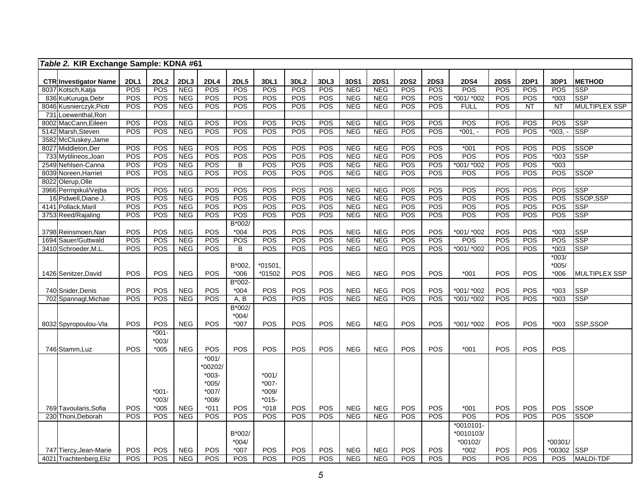|      | Table 2. KIR Exchange Sample: KDNA #61    |             |                  |                          |                   |                |                  |      |            |            |                          |             |             |                          |             |                  |                  |                          |
|------|-------------------------------------------|-------------|------------------|--------------------------|-------------------|----------------|------------------|------|------------|------------|--------------------------|-------------|-------------|--------------------------|-------------|------------------|------------------|--------------------------|
|      | <b>CTR Investigator Name</b>              | <b>2DL1</b> | 2DL <sub>2</sub> | 2DL3                     | <b>2DL4</b>       | <b>2DL5</b>    | 3DL1             | 3DL2 | 3DL3       | 3DS1       | <b>2DS1</b>              | <b>2DS2</b> | <b>2DS3</b> | <b>2DS4</b>              | <b>2DS5</b> | 2DP1             | 3DP1             | <b>METHOD</b>            |
|      | 8037 Kotsch, Katja                        | POS         | <b>POS</b>       | <b>NEG</b>               | POS               | POS            | POS              | POS  | POS        | <b>NEG</b> | <b>NEG</b>               | POS         | POS         | POS                      | POS         | POS              | POS              | <b>SSP</b>               |
|      | 836 KuKuruga, Debr                        | POS         | POS              | <b>NEG</b>               | <b>POS</b>        | POS            | POS              | POS  | POS        | <b>NEG</b> | <b>NEG</b>               | POS         | POS         | *001/ *002               | POS         | POS              | $*003$           | <b>SSP</b>               |
|      | 8046 Kusnierczyk, Piotr                   | POS         | <b>POS</b>       | <b>NEG</b>               | POS               | POS            | POS              | POS  | <b>POS</b> | <b>NEG</b> | <b>NEG</b>               | POS         | POS         | <b>FULL</b>              | <b>POS</b>  | NT               | $\overline{NT}$  | <b>MULTIPLEX SSP</b>     |
|      | 731 Loewenthal, Ron                       |             |                  |                          |                   |                |                  |      |            |            |                          |             |             |                          |             |                  |                  |                          |
|      | 8002 MacCann, Eileen                      | POS         | POS              | <b>NEG</b>               | POS               | <b>POS</b>     | POS              | POS  | POS        | <b>NEG</b> | <b>NEG</b>               | POS         | POS         | POS                      | POS         | POS              | <b>POS</b>       | <b>SSP</b>               |
|      | 5142 Marsh, Steven                        | POS         | <b>POS</b>       | <b>NEG</b>               | POS               | <b>POS</b>     | POS              | POS  | POS        | <b>NEG</b> | <b>NEG</b>               | <b>POS</b>  | <b>POS</b>  | $*001,-$                 | POS         | POS              | $*003, -$        | <b>SSP</b>               |
|      | 3582 McCluskey, Jame                      |             |                  |                          |                   |                |                  |      |            |            |                          |             |             |                          |             |                  |                  |                          |
|      | 8027 Middleton, Der                       | POS         | POS              | <b>NEG</b>               | POS               | POS            | POS              | POS  | POS        | <b>NEG</b> | <b>NEG</b>               | POS         | POS         | $*001$                   | POS         | POS              | POS              | <b>SSOP</b>              |
|      | 733 Mytilineos, Joan                      | POS         | <b>POS</b>       | <b>NEG</b>               | POS               | POS            | POS              | POS  | POS        | <b>NEG</b> | <b>NEG</b>               | <b>POS</b>  | POS         | POS                      | POS         | POS              | $*003$           | <b>SSP</b>               |
|      | 2549 Nehlsen-Canna                        | POS         | POS              | <b>NEG</b>               | POS               | B              | POS              | POS  | POS        | <b>NEG</b> | <b>NEG</b>               | POS         | POS         | *001/ *002               | POS         | POS              | $*003$           |                          |
|      | 8039 Noreen, Harriet                      | POS         | POS              | <b>NEG</b>               | <b>POS</b>        | POS            | POS              | POS  | POS        | <b>NEG</b> | <b>NEG</b>               | POS         | POS         | POS                      | POS         | POS              | POS              | <b>SSOP</b>              |
|      | 8022 Olerup, Olle                         |             |                  |                          |                   |                |                  |      |            |            |                          |             |             |                          |             |                  |                  |                          |
|      | 3966 Permpikul/Vejba                      | POS         | POS              | <b>NEG</b>               | POS               | POS            | POS              | POS  | POS        | <b>NEG</b> | <b>NEG</b>               | POS         | <b>POS</b>  | POS                      | POS         | POS              | POS              | <b>SSP</b>               |
|      | 16 Pidwell, Diane J.                      | POS         | <b>POS</b>       | <b>NEG</b>               | POS               | POS            | POS              | POS  | POS        | <b>NEG</b> | <b>NEG</b>               | POS         | POS         | POS                      | POS         | POS              | POS              | SSOP, SSP                |
|      | 4141 Pollack, Maril                       | POS         | POS              | <b>NEG</b>               | POS               | POS            | POS              | POS  | POS        | <b>NEG</b> | <b>NEG</b>               | POS         | POS         | POS                      | POS         | POS              | POS              | <b>SSP</b>               |
|      | 3753 Reed/Rajaling                        | POS         | <b>POS</b>       | <b>NEG</b>               | POS               | POS            | $\overline{POS}$ | POS  | POS        | <b>NEG</b> | <b>NEG</b>               | POS         | POS         | POS                      | POS         | $\overline{POS}$ | POS              | SSP                      |
|      |                                           |             |                  |                          |                   | B*002/         |                  |      |            |            |                          |             |             |                          |             |                  |                  |                          |
|      | 3798 Reinsmoen, Nan                       | POS         | POS              | <b>NEG</b>               | POS               | $*004$         | POS              | POS  | POS        | <b>NEG</b> | <b>NEG</b>               | POS         | POS         | *001/ *002               | POS         | POS              | $*003$           | <b>SSP</b>               |
| 1694 | Sauer/Guttwald                            | POS         | POS              | <b>NEG</b>               | POS               | POS            | POS              | POS  | POS        | <b>NEG</b> | <b>NEG</b>               | <b>POS</b>  | POS         | POS                      | POS         | POS              | POS              | <b>SSP</b>               |
|      | 3410 Schroeder, M.L                       | POS         | POS              | <b>NEG</b>               | <b>POS</b>        | B              | POS              | POS  | POS        | <b>NEG</b> | <b>NEG</b>               | <b>POS</b>  | POS         | *001/ *002               | POS         | <b>POS</b>       | $*003$           | <b>SSP</b>               |
|      |                                           |             |                  |                          |                   |                |                  |      |            |            |                          |             |             |                          |             |                  | $*003/$          |                          |
|      |                                           |             |                  |                          |                   | B*002,         | $*01501$         |      |            |            |                          |             |             |                          |             |                  | $*005/$          |                          |
|      | 1426 Senitzer, David                      | POS         | <b>POS</b>       | <b>NEG</b>               | POS               | $*006$         | *01502           | POS  | POS        | <b>NEG</b> | <b>NEG</b>               | POS         | POS         | $*001$                   | POS         | POS              | $*006$           | MULTIPLEX SSP            |
|      |                                           |             | POS              |                          |                   | B*002-         |                  | POS  | POS        | <b>NEG</b> |                          | POS         | POS         |                          | POS         | POS              |                  |                          |
|      | 740 Snider, Denis<br>702 Spannagl, Michae | POS<br>POS  | <b>POS</b>       | <b>NEG</b><br><b>NEG</b> | POS<br><b>POS</b> | $*004$<br>A, B | POS<br>POS       | POS  | POS        | <b>NEG</b> | <b>NEG</b><br><b>NEG</b> | POS         | POS         | *001/ *002<br>*001/ *002 | POS         | POS              | $*003$<br>$*003$ | <b>SSP</b><br><b>SSP</b> |
|      |                                           |             |                  |                          |                   | B*002/         |                  |      |            |            |                          |             |             |                          |             |                  |                  |                          |
|      |                                           |             |                  |                          |                   | $*004/$        |                  |      |            |            |                          |             |             |                          |             |                  |                  |                          |
|      | 8032 Spyropoulou-Vla                      | POS         | POS              | <b>NEG</b>               | POS               | $*007$         | POS              | POS  | POS        | <b>NEG</b> | <b>NEG</b>               | POS         | POS         | *001/ *002               | POS         | POS              | $*003$           | SSP,SSOP                 |
|      |                                           |             | $*001-$          |                          |                   |                |                  |      |            |            |                          |             |             |                          |             |                  |                  |                          |
|      |                                           |             | $*003/$          |                          |                   |                |                  |      |            |            |                          |             |             |                          |             |                  |                  |                          |
|      | 746 Stamm, Luz                            | POS         | $*005$           | <b>NEG</b>               | POS               | POS            | <b>POS</b>       | POS  | POS        | <b>NEG</b> | <b>NEG</b>               | POS         | POS         | $*001$                   | <b>POS</b>  | POS              | <b>POS</b>       |                          |
|      |                                           |             |                  |                          | $*001/$           |                |                  |      |            |            |                          |             |             |                          |             |                  |                  |                          |
|      |                                           |             |                  |                          | *00202/           |                |                  |      |            |            |                          |             |             |                          |             |                  |                  |                          |
|      |                                           |             |                  |                          | $*003-$           |                | $*001/$          |      |            |            |                          |             |             |                          |             |                  |                  |                          |
|      |                                           |             |                  |                          | $*005/$           |                | $*007 -$         |      |            |            |                          |             |             |                          |             |                  |                  |                          |
|      |                                           |             | $*001-$          |                          | $*007/$           |                | $*009/$          |      |            |            |                          |             |             |                          |             |                  |                  |                          |
|      |                                           |             | $*003/$          |                          | $*008/$           |                | $*015-$          |      |            |            |                          |             |             |                          |             |                  |                  |                          |
|      | 769 Tavoularis, Sofia                     | POS         | $*005$           | <b>NEG</b>               | $*011$            | <b>POS</b>     | $*018$           | POS  | POS        | <b>NEG</b> | <b>NEG</b>               | POS         | POS         | $*001$                   | POS         | POS              | POS              | <b>SSOP</b>              |
| 230  | Thoni,Deborah                             | POS         | POS              | <b>NEG</b>               | POS               | <b>POS</b>     | <b>POS</b>       | POS  | POS        | <b>NEG</b> | <b>NEG</b>               | <b>POS</b>  | POS         | POS                      | <b>POS</b>  | <b>POS</b>       | POS              | <b>SSOP</b>              |
|      |                                           |             |                  |                          |                   |                |                  |      |            |            |                          |             |             | $*0010101-$              |             |                  |                  |                          |
|      |                                           |             |                  |                          |                   | B*002/         |                  |      |            |            |                          |             |             | *0010103/                |             |                  |                  |                          |
|      |                                           |             |                  |                          |                   | $*004/$        |                  |      |            |            |                          |             |             | *00102/                  |             |                  | $*00301/$        |                          |
|      | 747 Tiercy, Jean-Marie                    | <b>POS</b>  | <b>POS</b>       | <b>NEG</b>               | <b>POS</b>        | *007           | POS              | POS  | POS        | <b>NEG</b> | <b>NEG</b>               | <b>POS</b>  | <b>POS</b>  | $*002$                   | POS         | <b>POS</b>       | *00302           | <b>SSP</b>               |
|      | 4021 Trachtenberg, Eliz                   | POS         | <b>POS</b>       | <b>NEG</b>               | POS               | POS            | POS              | POS  | POS        | <b>NEG</b> | <b>NEG</b>               | POS         | POS         | POS                      | POS         | POS              | POS              | <b>MALDI-TDF</b>         |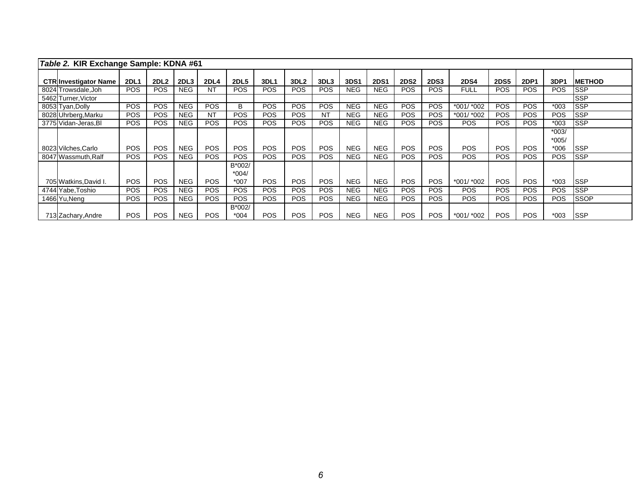| Table 2. KIR Exchange Sample: KDNA #61 |             |                  |            |                 |                             |            |                  |            |            |             |                 |             |             |             |             |                    |               |
|----------------------------------------|-------------|------------------|------------|-----------------|-----------------------------|------------|------------------|------------|------------|-------------|-----------------|-------------|-------------|-------------|-------------|--------------------|---------------|
| <b>CTR Investigator Name</b>           | <b>2DL1</b> | 2DL <sub>2</sub> | 2DL3       | <b>2DL4</b>     | <b>2DL5</b>                 | 3DL1       | 3DL <sub>2</sub> | 3DL3       | 3DS1       | <b>2DS1</b> | <b>2DS2</b>     | <b>2DS3</b> | <b>2DS4</b> | <b>2DS5</b> | <b>2DP1</b> | 3DP1               | <b>METHOD</b> |
| 8024 Trowsdale, Joh                    | <b>POS</b>  | <b>POS</b>       | NEG.       | NT              | <b>POS</b>                  | <b>POS</b> | <b>POS</b>       | <b>POS</b> | <b>NEG</b> | <b>NEG</b>  | <b>POS</b>      | <b>POS</b>  | <b>FULL</b> | <b>POS</b>  | <b>POS</b>  | <b>POS</b>         | <b>ISSP</b>   |
| 5462 Turner, Victor                    |             |                  |            |                 |                             |            |                  |            |            |             |                 |             |             |             |             |                    | <b>SSP</b>    |
| 8053 Tyan, Dolly                       | <b>POS</b>  | <b>POS</b>       | <b>NEG</b> | <b>POS</b>      | B                           | <b>POS</b> | <b>POS</b>       | <b>POS</b> | <b>NEG</b> | <b>NEG</b>  | <b>POS</b>      | <b>POS</b>  | *001/ *002  | <b>POS</b>  | <b>POS</b>  | $*003$             | <b>SSP</b>    |
| 8028 Uhrberg, Marku                    | <b>POS</b>  | <b>POS</b>       | <b>NEG</b> | <b>NT</b>       | <b>POS</b>                  | <b>POS</b> | <b>POS</b>       | NT         | <b>NEG</b> | <b>NEG</b>  | <b>POS</b>      | <b>POS</b>  | *001/ *002  | <b>POS</b>  | <b>POS</b>  | <b>POS</b>         | <b>ISSP</b>   |
| 3775 Vidan-Jeras, Bl                   | <b>POS</b>  | <b>POS</b>       | <b>NEG</b> | <b>POS</b>      | <b>POS</b>                  | <b>POS</b> | <b>POS</b>       | <b>POS</b> | <b>NEG</b> | <b>NEG</b>  | <b>POS</b>      | <b>POS</b>  | <b>POS</b>  | <b>POS</b>  | <b>POS</b>  | $*003$             | <b>SSP</b>    |
|                                        |             |                  |            |                 |                             |            |                  |            |            |             |                 |             |             |             |             | $*003/$<br>$*005/$ |               |
| 8023 Vilches, Carlo                    | <b>POS</b>  | <b>POS</b>       | <b>NEG</b> | <b>POS</b>      | <b>POS</b>                  | <b>POS</b> | <b>POS</b>       | POS        | <b>NEG</b> | <b>NEG</b>  | <b>POS</b>      | <b>POS</b>  | <b>POS</b>  | <b>POS</b>  | <b>POS</b>  | $*006$             | <b>ISSP</b>   |
| 8047 Wassmuth, Ralf                    | <b>POS</b>  | <b>POS</b>       | <b>NEG</b> | <b>POS</b>      | <b>POS</b>                  | <b>POS</b> | <b>POS</b>       | <b>POS</b> | <b>NEG</b> | <b>NEG</b>  | PO <sub>S</sub> | <b>POS</b>  | <b>POS</b>  | <b>POS</b>  | <b>POS</b>  | <b>POS</b>         | <b>ISSP</b>   |
| 705 Watkins, David I.                  | <b>POS</b>  | <b>POS</b>       | <b>NEG</b> | PO <sub>S</sub> | B*002/<br>$*004/$<br>$*007$ | <b>POS</b> | <b>POS</b>       | POS        | <b>NEG</b> | <b>NEG</b>  | <b>POS</b>      | <b>POS</b>  | $*001/*002$ | POS.        | <b>POS</b>  | $*003$             | <b>ISSP</b>   |
| 4744 Yabe. Toshio                      | <b>POS</b>  | <b>POS</b>       | <b>NEG</b> | <b>POS</b>      | <b>POS</b>                  | <b>POS</b> | <b>POS</b>       | <b>POS</b> | <b>NEG</b> | <b>NEG</b>  | PO <sub>S</sub> | <b>POS</b>  | <b>POS</b>  | <b>POS</b>  | <b>POS</b>  | <b>POS</b>         | <b>ISSP</b>   |
| 1466 Yu, Neng                          | <b>POS</b>  | <b>POS</b>       | <b>NEG</b> | <b>POS</b>      | <b>POS</b>                  | <b>POS</b> | <b>POS</b>       | <b>POS</b> | <b>NEG</b> | <b>NEG</b>  | <b>POS</b>      | <b>POS</b>  | <b>POS</b>  | <b>POS</b>  | <b>POS</b>  | <b>POS</b>         | <b>SSOP</b>   |
| 713 Zachary, Andre                     | <b>POS</b>  | <b>POS</b>       | <b>NEG</b> | <b>POS</b>      | B*002/<br>$*004$            | <b>POS</b> | <b>POS</b>       | <b>POS</b> | <b>NEG</b> | <b>NEG</b>  | <b>POS</b>      | <b>POS</b>  | *001/ *002  | <b>POS</b>  | <b>POS</b>  | $*003$             | <b>ISSP</b>   |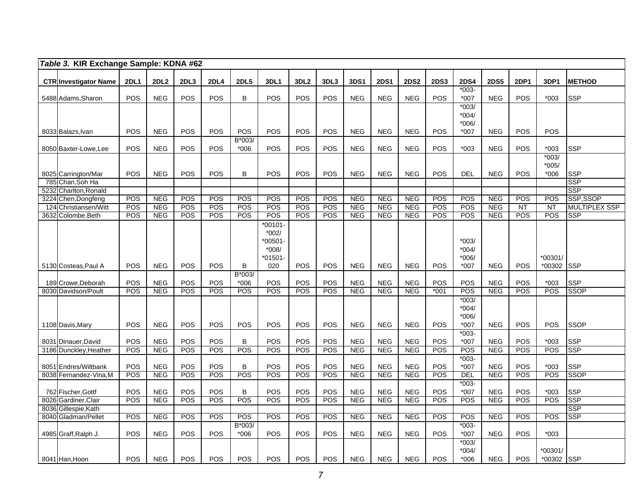|      | Table 3. KIR Exchange Sample: KDNA #62         |             |                          |            |             |                  |            |                   |            |                          |                          |                          |             |                    |                          |             |            |                           |
|------|------------------------------------------------|-------------|--------------------------|------------|-------------|------------------|------------|-------------------|------------|--------------------------|--------------------------|--------------------------|-------------|--------------------|--------------------------|-------------|------------|---------------------------|
|      | <b>CTR Investigator Name</b>                   | <b>2DL1</b> | <b>2DL2</b>              | 2DL3       | <b>2DL4</b> | <b>2DL5</b>      | 3DL1       | 3DL <sub>2</sub>  | 3DL3       | 3DS1                     | <b>2DS1</b>              | <b>2DS2</b>              | <b>2DS3</b> | <b>2DS4</b>        | <b>2DS5</b>              | <b>2DP1</b> | 3DP1       | <b>METHOD</b>             |
|      | 5488 Adams, Sharon                             | <b>POS</b>  | <b>NEG</b>               | <b>POS</b> | POS         | В                | POS        | <b>POS</b>        | <b>POS</b> | <b>NEG</b>               | <b>NEG</b>               | <b>NEG</b>               | POS         | $*003-$<br>*007    | <b>NEG</b>               | POS         | $*003$     | <b>SSP</b>                |
|      |                                                |             |                          |            |             |                  |            |                   |            |                          |                          |                          |             | $*003/$            |                          |             |            |                           |
|      |                                                |             |                          |            |             |                  |            |                   |            |                          |                          |                          |             | $*004/$            |                          |             |            |                           |
|      |                                                |             |                          |            |             |                  |            |                   |            |                          |                          |                          |             | $*006/$            |                          |             |            |                           |
|      | 8033 Balazs, Ivan                              | <b>POS</b>  | <b>NEG</b>               | POS        | <b>POS</b>  | POS<br>B*003/    | POS        | <b>POS</b>        | POS        | <b>NEG</b>               | <b>NEG</b>               | <b>NEG</b>               | POS         | $*007$             | <b>NEG</b>               | POS         | <b>POS</b> |                           |
|      | 8050 Baxter-Lowe, Lee                          | POS         | <b>NEG</b>               | POS        | POS         | $*006$           | POS        | POS               | POS        | <b>NEG</b>               | <b>NEG</b>               | <b>NEG</b>               | POS         | $*003$             | <b>NEG</b>               | POS         | $*003$     | <b>SSP</b>                |
|      |                                                |             |                          |            |             |                  |            |                   |            |                          |                          |                          |             |                    |                          |             | $*003/$    |                           |
|      |                                                |             |                          |            |             |                  |            |                   |            |                          |                          |                          |             |                    |                          |             | $*005/$    |                           |
|      | 8025 Carrington/Mar                            | POS         | <b>NEG</b>               | POS        | POS         | B                | POS        | POS               | POS        | <b>NEG</b>               | <b>NEG</b>               | <b>NEG</b>               | POS         | <b>DEL</b>         | <b>NEG</b>               | POS         | $*006$     | <b>SSP</b><br><b>SSP</b>  |
| 5232 | 785 Chan, Soh Ha<br>Charlton, Ronald           |             |                          |            |             |                  |            |                   |            |                          |                          |                          |             |                    |                          |             |            | <b>SSP</b>                |
| 3224 | Chen, Dongfeng                                 | POS         | <b>NEG</b>               | POS        | <b>POS</b>  | POS              | POS        | POS               | POS        | <b>NEG</b>               | <b>NEG</b>               | <b>NEG</b>               | POS         | POS                | <b>NEG</b>               | POS         | POS        | SSP,SSOP                  |
| 124  | Christiansen/Witt                              | POS         | <b>NEG</b>               | POS        | POS         | POS              | POS        | POS               | POS        | <b>NEG</b>               | <b>NEG</b>               | <b>NEG</b>               | POS         | POS                | <b>NEG</b>               | <b>NT</b>   | <b>NT</b>  | <b>MULTIPLEX SSP</b>      |
|      | 3632 Colombe, Beth                             | <b>POS</b>  | <b>NEG</b>               | <b>POS</b> | <b>POS</b>  | <b>POS</b>       | POS        | POS               | POS        | <b>NEG</b>               | <b>NEG</b>               | <b>NEG</b>               | POS         | POS                | <b>NEG</b>               | POS         | <b>POS</b> | <b>SSP</b>                |
|      |                                                |             |                          |            |             |                  | $*00101$   |                   |            |                          |                          |                          |             |                    |                          |             |            |                           |
|      |                                                |             |                          |            |             |                  | $*002/$    |                   |            |                          |                          |                          |             |                    |                          |             |            |                           |
|      |                                                |             |                          |            |             |                  | $*00501$   |                   |            |                          |                          |                          |             | $*003/$            |                          |             |            |                           |
|      |                                                |             |                          |            |             |                  | $*008/$    |                   |            |                          |                          |                          |             | *004/              |                          |             |            |                           |
|      |                                                |             |                          |            |             |                  | *01501-    |                   |            |                          |                          |                          |             | *006/              |                          |             | *00301/    |                           |
|      | 5130 Costeas, Paul A                           | <b>POS</b>  | <b>NEG</b>               | <b>POS</b> | <b>POS</b>  | B                | 020        | <b>POS</b>        | <b>POS</b> | <b>NEG</b>               | <b>NEG</b>               | <b>NEG</b>               | <b>POS</b>  | $*007$             | <b>NEG</b>               | <b>POS</b>  | *00302     | <b>SSP</b>                |
|      | 189 Crowe, Deborah                             | POS         | <b>NEG</b>               | POS        | <b>POS</b>  | B*003/<br>$*006$ | POS        | <b>POS</b>        | POS        | <b>NEG</b>               | <b>NEG</b>               | <b>NEG</b>               | POS         | POS                | <b>NEG</b>               | <b>POS</b>  | $*003$     | <b>SSP</b>                |
|      | 8030 Davidson/Poult                            | POS         | NEG                      | POS        | POS         | <b>POS</b>       | POS        | POS               | POS        | <b>NEG</b>               | <b>NEG</b>               | <b>NEG</b>               | $*001$      | POS                | NEG                      | POS         | POS        | <b>SSOP</b>               |
|      |                                                |             |                          |            |             |                  |            |                   |            |                          |                          |                          |             | $*003/$            |                          |             |            |                           |
|      |                                                |             |                          |            |             |                  |            |                   |            |                          |                          |                          |             | $*004/$            |                          |             |            |                           |
|      |                                                |             |                          |            |             |                  |            |                   |            |                          |                          |                          |             | $*006/$            |                          |             |            |                           |
|      | 1108 Davis, Mary                               | POS         | <b>NEG</b>               | <b>POS</b> | POS         | <b>POS</b>       | POS        | POS               | POS        | <b>NEG</b>               | <b>NEG</b>               | <b>NEG</b>               | POS         | *007               | <b>NEG</b>               | POS         | POS        | <b>SSOP</b>               |
|      |                                                |             |                          |            |             |                  |            |                   |            |                          |                          |                          |             | $*003-$            |                          |             |            |                           |
|      | 8031 Dinauer, David                            | POS         | <b>NEG</b>               | POS        | POS         | B                | POS        | POS               | POS        | <b>NEG</b>               | <b>NEG</b>               | <b>NEG</b>               | POS         | *007               | <b>NEG</b>               | POS         | $*003$     | <b>SSP</b>                |
|      | 3186 Dunckley, Heather                         | POS         | NEG                      | POS        | POS         | POS              | POS        | POS               | POS        | NEG                      | <b>NEG</b>               | <b>NEG</b>               | POS         | POS                | <b>NEG</b>               | <b>POS</b>  | POS        | <b>SSP</b>                |
|      |                                                | POS         |                          | POS        | POS         | B                |            |                   | POS        |                          |                          |                          | POS         | $*003-$            |                          |             | $*003$     |                           |
|      | 8051 Endres/Wiltbank<br>8038 Fernandez-Vina, M | POS         | <b>NEG</b><br><b>NEG</b> | POS        | POS         | POS              | POS<br>POS | <b>POS</b><br>POS | POS        | <b>NEG</b><br><b>NEG</b> | <b>NEG</b><br><b>NEG</b> | <b>NEG</b><br><b>NEG</b> | POS         | *007<br><b>DEL</b> | <b>NEG</b><br><b>NEG</b> | POS<br>POS  | POS        | <b>SSP</b><br><b>SSOP</b> |
|      |                                                |             |                          |            |             |                  |            |                   |            |                          |                          |                          |             | $*003-$            |                          |             |            |                           |
|      | 762 Fischer, Gottf                             | POS         | <b>NEG</b>               | POS        | POS         | B                | POS        | <b>POS</b>        | POS        | <b>NEG</b>               | <b>NEG</b>               | <b>NEG</b>               | POS         | $*007$             | <b>NEG</b>               | POS         | $*003$     | <b>SSP</b>                |
|      | 8026 Gardiner, Clair                           | POS         | <b>NEG</b>               | POS        | POS         | POS              | POS        | POS               | POS        | <b>NEG</b>               | <b>NEG</b>               | <b>NEG</b>               | <b>POS</b>  | POS                | <b>NEG</b>               | POS         | <b>POS</b> | <b>SSP</b>                |
|      | 8036 Gillespie, Kath                           |             |                          |            |             |                  |            |                   |            |                          |                          |                          |             |                    |                          |             |            | <b>SSP</b>                |
|      | 8040 Gladman/Pellet                            | POS         | <b>NEG</b>               | POS        | <b>POS</b>  | POS              | POS        | POS               | POS        | <b>NEG</b>               | <b>NEG</b>               | <b>NEG</b>               | <b>POS</b>  | POS                | <b>NEG</b>               | <b>POS</b>  | <b>POS</b> | <b>SSP</b>                |
|      |                                                |             |                          |            |             | $B*003/$         |            |                   |            |                          |                          |                          |             | $*003-$            |                          |             |            |                           |
|      | 4985 Graff, Ralph J.                           | POS         | <b>NEG</b>               | POS        | POS         | $*006$           | POS        | POS               | POS        | <b>NEG</b>               | <b>NEG</b>               | <b>NEG</b>               | POS         | *007               | <b>NEG</b>               | POS         | $*003$     |                           |
|      |                                                |             |                          |            |             |                  |            |                   |            |                          |                          |                          |             | $*003/$            |                          |             |            |                           |
|      |                                                |             |                          |            |             |                  |            |                   |            |                          |                          |                          |             | $*004/$            |                          |             | *00301/    |                           |
|      | 8041 Han, Hoon                                 | POS         | <b>NEG</b>               | POS        | POS         | POS              | POS        | <b>POS</b>        | <b>POS</b> | <b>NEG</b>               | <b>NEG</b>               | <b>NEG</b>               | <b>POS</b>  | $*006$             | <b>NEG</b>               | POS         | *00302 SSP |                           |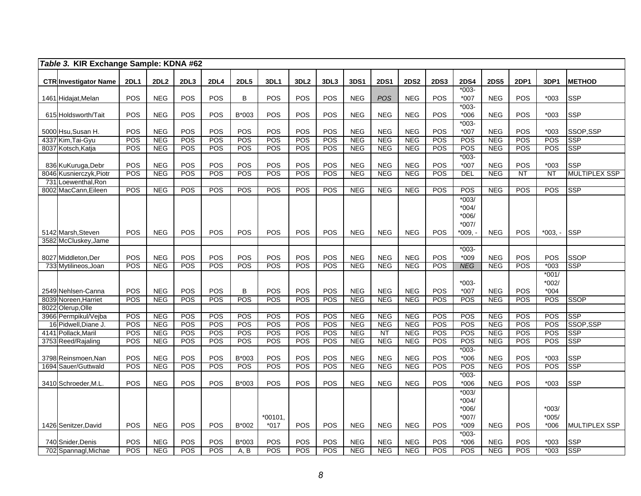|      | Table 3. KIR Exchange Sample: KDNA #62        |             |                          |                   |             |             |            |                  |            |                          |                          |                          |             |                      |                          |                        |                           |                                    |
|------|-----------------------------------------------|-------------|--------------------------|-------------------|-------------|-------------|------------|------------------|------------|--------------------------|--------------------------|--------------------------|-------------|----------------------|--------------------------|------------------------|---------------------------|------------------------------------|
|      | <b>CTR Investigator Name</b>                  | <b>2DL1</b> | <b>2DL2</b>              | 2DL3              | <b>2DL4</b> | <b>2DL5</b> | 3DL1       | 3DL <sub>2</sub> | 3DL3       | 3DS1                     | <b>2DS1</b>              | <b>2DS2</b>              | <b>2DS3</b> | <b>2DS4</b>          | <b>2DS5</b>              | <b>2DP1</b>            | 3DP1                      | <b>METHOD</b>                      |
|      |                                               |             |                          |                   |             |             |            |                  |            |                          |                          |                          |             | $*003-$              |                          |                        |                           |                                    |
|      | 1461 Hidajat, Melan                           | POS         | <b>NEG</b>               | POS               | POS         | B           | POS        | POS              | POS        | <b>NEG</b>               | <b>POS</b>               | <b>NEG</b>               | POS         | $*007$               | <b>NEG</b>               | POS                    | $*003$                    | <b>SSP</b>                         |
|      |                                               |             |                          |                   |             |             |            |                  |            |                          |                          |                          |             | $*003-$              |                          |                        |                           |                                    |
|      | 615 Holdsworth/Tait                           | POS         | <b>NEG</b>               | POS               | POS         | B*003       | POS        | POS              | POS        | <b>NEG</b>               | <b>NEG</b>               | <b>NEG</b>               | POS         | $*006$               | <b>NEG</b>               | POS                    | $*003$                    | <b>SSP</b>                         |
|      |                                               |             |                          |                   |             |             |            |                  |            |                          |                          |                          |             | $*003-$              |                          |                        |                           |                                    |
|      | 5000 Hsu, Susan H.                            | POS         | <b>NEG</b>               | POS               | POS         | POS         | POS        | POS              | POS        | <b>NEG</b>               | <b>NEG</b>               | <b>NEG</b>               | POS         | $*007$               | <b>NEG</b>               | POS                    | $*003$                    | SSOP,SSP                           |
|      | 4337 Kim, Tai-Gyu                             | POS         | <b>NEG</b>               | POS               | POS         | POS         | POS        | POS              | <b>POS</b> | <b>NEG</b>               | <b>NEG</b>               | <b>NEG</b>               | POS         | POS                  | <b>NEG</b>               | POS                    | POS                       | <b>SSP</b>                         |
|      | 8037 Kotsch, Katja                            | POS         | <b>NEG</b>               | POS               | POS         | <b>POS</b>  | POS        | POS              | POS        | <b>NEG</b>               | <b>NEG</b>               | <b>NEG</b>               | POS         | POS                  | <b>NEG</b>               | POS                    | POS                       | <b>SSP</b>                         |
|      |                                               |             |                          |                   |             |             |            |                  |            |                          |                          |                          |             | $*003-$              |                          |                        |                           |                                    |
|      | 836 KuKuruga, Debr<br>8046 Kusnierczyk, Piotr | POS<br>POS  | <b>NEG</b><br>NEG        | <b>POS</b><br>POS | POS<br>POS  | POS<br>POS  | POS<br>POS | POS<br>POS       | POS<br>POS | <b>NEG</b><br><b>NEG</b> | <b>NEG</b><br><b>NEG</b> | <b>NEG</b><br><b>NEG</b> | POS<br>POS  | $*007$<br><b>DEL</b> | <b>NEG</b><br><b>NEG</b> | POS<br>$\overline{NT}$ | $*003$<br>$\overline{NT}$ | <b>SSP</b><br><b>MULTIPLEX SSP</b> |
| 731  | Loewenthal, Ron                               |             |                          |                   |             |             |            |                  |            |                          |                          |                          |             |                      |                          |                        |                           |                                    |
| 8002 | MacCann, Eileen                               | POS         | <b>NEG</b>               | POS               | POS         | POS         | POS        | POS              | POS        | <b>NEG</b>               | <b>NEG</b>               | <b>NEG</b>               | POS         | POS                  | <b>NEG</b>               | POS                    | POS                       | <b>SSP</b>                         |
|      |                                               |             |                          |                   |             |             |            |                  |            |                          |                          |                          |             | $*003/$              |                          |                        |                           |                                    |
|      |                                               |             |                          |                   |             |             |            |                  |            |                          |                          |                          |             | $*004/$              |                          |                        |                           |                                    |
|      |                                               |             |                          |                   |             |             |            |                  |            |                          |                          |                          |             | $*006/$              |                          |                        |                           |                                    |
|      |                                               |             |                          |                   |             |             |            |                  |            |                          |                          |                          |             | $*007/$              |                          |                        |                           |                                    |
|      | 5142 Marsh, Steven                            | POS         | <b>NEG</b>               | POS               | POS         | POS         | POS        | POS              | POS        | <b>NEG</b>               | <b>NEG</b>               | <b>NEG</b>               | POS         | *009. -              | <b>NEG</b>               | POS                    | $*003. -$                 | <b>ISSP</b>                        |
| 3582 | McCluskey, Jame                               |             |                          |                   |             |             |            |                  |            |                          |                          |                          |             |                      |                          |                        |                           |                                    |
|      |                                               |             |                          |                   |             |             |            |                  |            |                          |                          |                          |             | $*003-$              |                          |                        |                           |                                    |
|      | 8027 Middleton, Der                           | POS         | <b>NEG</b>               | POS               | POS         | POS         | POS        | POS              | POS        | <b>NEG</b>               | <b>NEG</b>               | <b>NEG</b>               | POS         | $*009$               | <b>NEG</b>               | POS                    | POS                       | <b>SSOP</b>                        |
|      | 733 Mytilineos, Joan                          | POS         | NEG                      | POS               | POS         | <b>POS</b>  | POS        | POS              | POS        | NEG                      | <b>NEG</b>               | <b>NEG</b>               | POS         | <b>NEG</b>           | <b>NEG</b>               | POS                    | $*003$                    | <b>SSP</b>                         |
|      |                                               |             |                          |                   |             |             |            |                  |            |                          |                          |                          |             |                      |                          |                        | $*001/$                   |                                    |
|      |                                               |             |                          |                   |             |             |            |                  |            |                          |                          |                          |             | $*003-$              |                          |                        | $*002/$                   |                                    |
|      | 2549 Nehlsen-Canna                            | POS         | <b>NEG</b>               | POS               | POS         | B           | POS        | POS              | POS        | <b>NEG</b>               | <b>NEG</b>               | <b>NEG</b>               | POS         | $*007$               | <b>NEG</b>               | POS                    | $*004$                    |                                    |
|      | 8039 Noreen, Harriet                          | POS         | NEG                      | POS               | POS         | POS         | POS        | POS              | POS        | <b>NEG</b>               | <b>NEG</b>               | <b>NEG</b>               | POS         | POS                  | <b>NEG</b>               | POS                    | POS                       | <b>SSOP</b>                        |
| 8022 | Olerup, Olle<br>3966 Permpikul/Vejba          | POS         | <b>NEG</b>               | POS               | POS         | POS         | POS        | POS              | POS        | <b>NEG</b>               | <b>NEG</b>               | <b>NEG</b>               | POS         | POS                  | <b>NEG</b>               | POS                    | POS                       | <b>SSP</b>                         |
|      | 16 Pidwell, Diane J                           | POS         | <b>NEG</b>               | POS               | POS         | POS         | POS        | POS              | POS        | <b>NEG</b>               | <b>NEG</b>               | <b>NEG</b>               | POS         | POS                  | <b>NEG</b>               | POS                    | POS                       | SSOP, SSP                          |
|      | 4141 Pollack, Maril                           | POS         | <b>NEG</b>               | POS               | POS         | <b>POS</b>  | POS        | POS              | POS        | <b>NEG</b>               | $\overline{\text{NT}}$   | <b>NEG</b>               | POS         | POS                  | <b>NEG</b>               | POS                    | POS                       | <b>SSP</b>                         |
|      | 3753 Reed/Rajaling                            | POS         | <b>NEG</b>               | POS               | POS         | <b>POS</b>  | POS        | POS              | POS        | <b>NEG</b>               | <b>NEG</b>               | <b>NEG</b>               | POS         | POS                  | <b>NEG</b>               | POS                    | POS                       | <b>SSP</b>                         |
|      |                                               |             |                          |                   |             |             |            |                  |            |                          |                          |                          |             | $*003-$              |                          |                        |                           |                                    |
|      | 3798 Reinsmoen, Nan                           | POS         | <b>NEG</b>               | POS               | POS         | B*003       | POS        | POS              | POS        | <b>NEG</b>               | <b>NEG</b>               | <b>NEG</b>               | POS         | $*006$               | <b>NEG</b>               | POS                    | $*003$                    | <b>SSP</b>                         |
|      | 1694 Sauer/Guttwald                           | POS         | <b>NEG</b>               | POS               | POS         | <b>POS</b>  | POS        | POS              | POS        | <b>NEG</b>               | <b>NEG</b>               | <b>NEG</b>               | POS         | POS                  | <b>NEG</b>               | POS                    | POS                       | <b>SSP</b>                         |
|      |                                               |             |                          |                   |             |             |            |                  |            |                          |                          |                          |             | $*003-$              |                          |                        |                           |                                    |
|      | 3410 Schroeder, M.L.                          | POS         | <b>NEG</b>               | POS               | POS         | B*003       | POS        | POS              | POS        | <b>NEG</b>               | <b>NEG</b>               | <b>NEG</b>               | POS         | $*006$               | <b>NEG</b>               | POS                    | $*003$                    | <b>SSP</b>                         |
|      |                                               |             |                          |                   |             |             |            |                  |            |                          |                          |                          |             | $*003/$              |                          |                        |                           |                                    |
|      |                                               |             |                          |                   |             |             |            |                  |            |                          |                          |                          |             | $*004/$              |                          |                        |                           |                                    |
|      |                                               |             |                          |                   |             |             |            |                  |            |                          |                          |                          |             | *006/                |                          |                        | $*003/$                   |                                    |
|      |                                               |             |                          |                   |             |             | $*00101.$  |                  |            |                          |                          |                          |             | $*007/$              |                          |                        | $*005/$                   |                                    |
|      | 1426 Senitzer, David                          | POS         | <b>NEG</b>               | POS               | POS         | B*002       | $*017$     | POS              | POS        | <b>NEG</b>               | <b>NEG</b>               | <b>NEG</b>               | POS         | $*009$               | <b>NEG</b>               | POS                    | *006                      | <b>MULTIPLEX SSP</b>               |
|      |                                               |             |                          |                   |             |             |            |                  |            |                          |                          |                          |             | $*003-$              |                          |                        |                           |                                    |
|      | 740 Snider, Denis                             | POS<br>POS  | <b>NEG</b><br><b>NEG</b> | POS<br>POS        | POS<br>POS  | B*003       | POS<br>POS | POS<br>POS       | POS<br>POS | <b>NEG</b><br><b>NEG</b> | <b>NEG</b><br><b>NEG</b> | <b>NEG</b><br><b>NEG</b> | POS<br>POS  | $*006$<br>POS        | <b>NEG</b><br><b>NEG</b> | POS<br>POS             | $*003$<br>$*003$          | <b>SSP</b><br><b>SSP</b>           |
|      | 702 Spannagl, Michae                          |             |                          |                   |             | A, B        |            |                  |            |                          |                          |                          |             |                      |                          |                        |                           |                                    |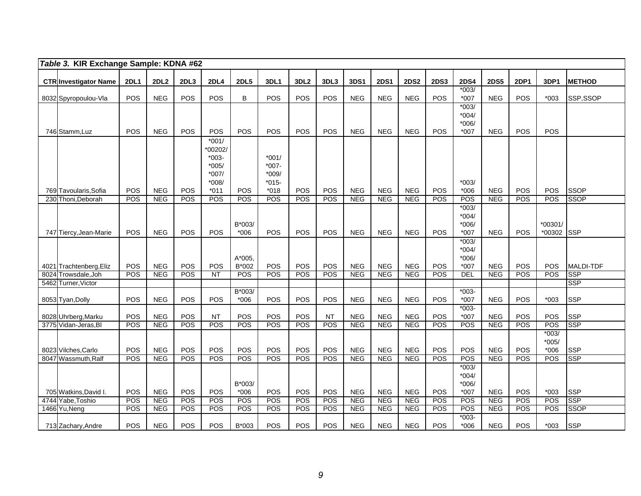| Table 3. KIR Exchange Sample: KDNA #62 |             |             |            |                                                                          |                  |                                                     |                  |            |            |             |             |             |                                         |             |             |                              |               |
|----------------------------------------|-------------|-------------|------------|--------------------------------------------------------------------------|------------------|-----------------------------------------------------|------------------|------------|------------|-------------|-------------|-------------|-----------------------------------------|-------------|-------------|------------------------------|---------------|
| <b>CTR Investigator Name</b>           | <b>2DL1</b> | <b>2DL2</b> | 2DL3       | <b>2DL4</b>                                                              | <b>2DL5</b>      | 3DL1                                                | 3DL <sub>2</sub> | 3DL3       | 3DS1       | <b>2DS1</b> | <b>2DS2</b> | <b>2DS3</b> | <b>2DS4</b>                             | <b>2DS5</b> | <b>2DP1</b> | 3DP1                         | <b>METHOD</b> |
| 8032 Spyropoulou-Vla                   | POS         | <b>NEG</b>  | POS        | POS                                                                      | B                | POS                                                 | POS              | POS        | <b>NEG</b> | <b>NEG</b>  | <b>NEG</b>  | POS         | $*003/$<br>$*007$                       | <b>NEG</b>  | POS         | $*003$                       | SSP,SSOP      |
|                                        |             |             |            |                                                                          |                  |                                                     |                  |            |            |             |             |             | $*003/$<br>$*004/$<br>$*006/$           |             |             |                              |               |
| 746 Stamm, Luz                         | POS         | <b>NEG</b>  | POS        | POS                                                                      | <b>POS</b>       | POS                                                 | POS              | POS        | <b>NEG</b> | <b>NEG</b>  | <b>NEG</b>  | POS         | $*007$                                  | <b>NEG</b>  | POS         | POS                          |               |
| 769 Tavoularis, Sofia                  | POS         | <b>NEG</b>  | POS        | $*001/$<br>*00202/<br>$*003-$<br>$*005/$<br>$*007/$<br>$*008/$<br>$*011$ | <b>POS</b>       | $*001/$<br>$*007 -$<br>$*009/$<br>$*015-$<br>$*018$ | POS              | POS        | <b>NEG</b> | <b>NEG</b>  | <b>NEG</b>  | POS         | $*003/$<br>$*006$                       | <b>NEG</b>  | POS         | POS                          | <b>SSOP</b>   |
| 230 Thoni, Deborah                     | POS         | <b>NEG</b>  | <b>POS</b> | POS                                                                      | <b>POS</b>       | POS                                                 | POS              | <b>POS</b> | <b>NEG</b> | <b>NEG</b>  | <b>NEG</b>  | <b>POS</b>  | POS                                     | <b>NEG</b>  | <b>POS</b>  | <b>POS</b>                   | <b>SSOP</b>   |
| 747 Tiercy, Jean-Marie                 | POS         | <b>NEG</b>  | POS        | POS                                                                      | B*003/<br>$*006$ | POS                                                 | POS              | POS        | <b>NEG</b> | <b>NEG</b>  | <b>NEG</b>  | POS         | $*003/$<br>$*004/$<br>$*006/$<br>$*007$ | <b>NEG</b>  | <b>POS</b>  | *00301/<br>*00302 SSP        |               |
|                                        |             |             |            |                                                                          |                  |                                                     |                  |            |            |             |             |             | $*003/$                                 |             |             |                              |               |
| 4021 Trachtenberg, Eliz                | POS         | <b>NEG</b>  | POS        | POS                                                                      | A*005,<br>B*002  | POS                                                 | POS              | POS        | <b>NEG</b> | <b>NEG</b>  | <b>NEG</b>  | POS         | $*004/$<br>*006/<br>$*007$              | <b>NEG</b>  | POS         | POS                          | MALDI-TDF     |
| 8024 Trowsdale, Joh                    | POS         | <b>NEG</b>  | POS        | NT                                                                       | <b>POS</b>       | POS                                                 | POS              | POS        | <b>NEG</b> | <b>NEG</b>  | <b>NEG</b>  | POS         | <b>DEL</b>                              | <b>NEG</b>  | POS         | <b>POS</b>                   | <b>SSP</b>    |
| 5462 Turner, Victor                    |             |             |            |                                                                          |                  |                                                     |                  |            |            |             |             |             |                                         |             |             |                              | <b>SSP</b>    |
| 8053 Tyan, Dolly                       | POS         | <b>NEG</b>  | POS        | <b>POS</b>                                                               | B*003/<br>$*006$ | POS                                                 | POS              | POS        | <b>NEG</b> | <b>NEG</b>  | <b>NEG</b>  | POS         | $*003-$<br>$*007$                       | <b>NEG</b>  | POS         | $*003$                       | <b>SSP</b>    |
| 8028 Uhrberg, Marku                    | POS         | <b>NEG</b>  | POS        | NT                                                                       | POS              | POS                                                 | POS              | <b>NT</b>  | <b>NEG</b> | <b>NEG</b>  | <b>NEG</b>  | POS         | $*003-$<br>$*007$                       | <b>NEG</b>  | POS         | POS                          | <b>SSP</b>    |
| 3775 Vidan-Jeras, BI                   | POS         | <b>NEG</b>  | POS        | POS                                                                      | <b>POS</b>       | POS                                                 | POS              | POS        | <b>NEG</b> | <b>NEG</b>  | <b>NEG</b>  | POS         | POS                                     | <b>NEG</b>  | POS         | POS                          | <b>SSP</b>    |
| 8023 Vilches, Carlo                    | POS         | <b>NEG</b>  | POS        | POS                                                                      | POS              | POS                                                 | POS              | POS        | <b>NEG</b> | <b>NEG</b>  | <b>NEG</b>  | POS         | POS                                     | <b>NEG</b>  | POS         | $*003/$<br>$*005/$<br>$*006$ | <b>SSP</b>    |
| 8047 Wassmuth, Ralf                    | POS         | <b>NEG</b>  | <b>POS</b> | POS                                                                      | <b>POS</b>       | POS                                                 | <b>POS</b>       | POS        | <b>NEG</b> | <b>NEG</b>  | <b>NEG</b>  | POS         | POS                                     | <b>NEG</b>  | POS         | POS                          | <b>SSP</b>    |
| 705 Watkins, David I.                  | POS         | <b>NEG</b>  | POS        | POS                                                                      | B*003/<br>$*006$ | POS                                                 | POS              | POS        | <b>NEG</b> | <b>NEG</b>  | <b>NEG</b>  | POS         | $*003/$<br>$*004/$<br>*006/<br>*007     | <b>NEG</b>  | POS         | $*003$                       | <b>SSP</b>    |
| 4744 Yabe, Toshio                      | POS         | <b>NEG</b>  | POS        | POS                                                                      | POS              | POS                                                 | POS              | POS        | <b>NEG</b> | NEG         | <b>NEG</b>  | POS         | POS                                     | <b>NEG</b>  | <b>POS</b>  | <b>POS</b>                   | <b>SSP</b>    |
| 1466 Yu, Neng                          | POS         | <b>NEG</b>  | <b>POS</b> | POS                                                                      | <b>POS</b>       | POS                                                 | POS              | POS        | <b>NEG</b> | <b>NEG</b>  | <b>NEG</b>  | POS         | POS                                     | <b>NEG</b>  | <b>POS</b>  | <b>POS</b>                   | <b>SSOP</b>   |
| 713 Zachary, Andre                     | POS         | <b>NEG</b>  | POS        | <b>POS</b>                                                               | B*003            | <b>POS</b>                                          | POS              | POS        | <b>NEG</b> | <b>NEG</b>  | <b>NEG</b>  | POS         | $*003-$<br>$*006$                       | <b>NEG</b>  | POS         | $*003$                       | <b>SSP</b>    |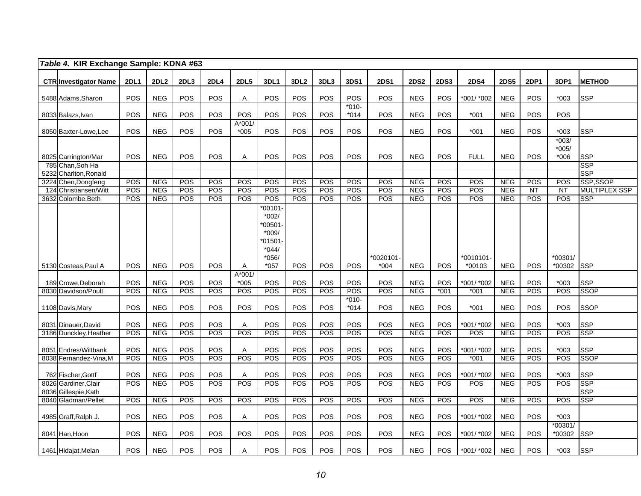| Table 4. KIR Exchange Sample: KDNA #63      |             |            |            |             |                  |                                                                        |                  |            |                   |             |             |             |             |             |             |                    |                          |
|---------------------------------------------|-------------|------------|------------|-------------|------------------|------------------------------------------------------------------------|------------------|------------|-------------------|-------------|-------------|-------------|-------------|-------------|-------------|--------------------|--------------------------|
| <b>CTR Investigator Name</b>                | <b>2DL1</b> | 2DL2       | 2DL3       | <b>2DL4</b> | <b>2DL5</b>      | 3DL1                                                                   | 3DL <sub>2</sub> | 3DL3       | <b>3DS1</b>       | <b>2DS1</b> | <b>2DS2</b> | <b>2DS3</b> | <b>2DS4</b> | <b>2DS5</b> | <b>2DP1</b> | 3DP1               | <b>METHOD</b>            |
| 5488 Adams, Sharon                          | <b>POS</b>  | <b>NEG</b> | POS        | POS         | A                | POS                                                                    | POS              | POS        | POS               | POS         | <b>NEG</b>  | <b>POS</b>  | *001/ *002  | <b>NEG</b>  | <b>POS</b>  | $*003$             | <b>SSP</b>               |
| 8033 Balazs, Ivan                           | <b>POS</b>  | <b>NEG</b> | <b>POS</b> | <b>POS</b>  | POS              | POS                                                                    | <b>POS</b>       | <b>POS</b> | $*010-$<br>$*014$ | POS         | <b>NEG</b>  | <b>POS</b>  | $*001$      | <b>NEG</b>  | <b>POS</b>  | POS                |                          |
| 8050 Baxter-Lowe, Lee                       | POS         | <b>NEG</b> | POS        | POS         | A*001/<br>$*005$ | POS                                                                    | POS              | POS        | POS               | POS         | <b>NEG</b>  | POS         | $*001$      | <b>NEG</b>  | POS         | $*003$             | <b>SSP</b>               |
|                                             | <b>POS</b>  |            |            |             |                  | POS                                                                    |                  | POS        | POS               | POS         | <b>NEG</b>  |             |             | <b>NEG</b>  | <b>POS</b>  | $*003/$<br>$*005/$ |                          |
| 8025 Carrington/Mar<br>785 Chan, Soh Ha     |             | <b>NEG</b> | POS        | POS         | A                |                                                                        | POS              |            |                   |             |             | POS         | <b>FULL</b> |             |             | $*006$             | <b>SSP</b><br><b>SSP</b> |
| 5232 Charlton, Ronald                       |             |            |            |             |                  |                                                                        |                  |            |                   |             |             |             |             |             |             |                    | <b>SSP</b>               |
| 3224 Chen, Dongfeng                         | <b>POS</b>  | <b>NEG</b> | <b>POS</b> | <b>POS</b>  | POS              | <b>POS</b>                                                             | POS              | <b>POS</b> | POS               | POS         | <b>NEG</b>  | <b>POS</b>  | POS         | <b>NEG</b>  | <b>POS</b>  | POS                | SSP,SSOP                 |
| 124 Christiansen/Witt                       | POS         | <b>NEG</b> | POS        | POS         | POS              | POS                                                                    | <b>POS</b>       | POS        | POS               | POS         | <b>NEG</b>  | POS         | POS         | <b>NEG</b>  | <b>NT</b>   | <b>NT</b>          | <b>MULTIPLEX SSP</b>     |
| 3632 Colombe, Beth                          | <b>POS</b>  | <b>NEG</b> | <b>POS</b> | POS         | <b>POS</b>       | POS                                                                    | <b>POS</b>       | POS        | POS               | <b>POS</b>  | <b>NEG</b>  | POS         | POS         | <b>NEG</b>  | POS         | <b>POS</b>         | <b>SSP</b>               |
|                                             |             |            |            |             |                  | $*00101$<br>$*002/$<br>00501<br>$*009/$<br>01501<br>$*044/$<br>$*056/$ |                  |            |                   | *0020101-   |             |             | *0010101-   |             |             | *00301/            |                          |
| 5130 Costeas, Paul A                        | <b>POS</b>  | <b>NEG</b> | POS        | <b>POS</b>  | A                | $*057$                                                                 | <b>POS</b>       | POS        | POS               | $*004$      | <b>NEG</b>  | POS         | *00103      | <b>NEG</b>  | POS         | *00302             | <b>SSP</b>               |
| 189 Crowe, Deborah                          | POS         | <b>NEG</b> | POS        | POS         | A*001/<br>$*005$ | POS                                                                    | POS              | POS        | POS               | POS         | <b>NEG</b>  | POS         | *001/ *002  | <b>NEG</b>  | POS         | $*003$             | <b>SSP</b>               |
| 8030 Davidson/Poult                         | POS         | <b>NEG</b> | <b>POS</b> | POS         | POS              | POS                                                                    | POS              | POS        | POS               | POS         | <b>NEG</b>  | $*001$      | $*001$      | <b>NEG</b>  | POS         | POS                | <b>SSOP</b>              |
| 1108 Davis, Mary                            | <b>POS</b>  | <b>NEG</b> | POS        | POS         | POS              | POS                                                                    | POS              | POS        | $*010-$<br>$*014$ | POS         | <b>NEG</b>  | POS         | $*001$      | <b>NEG</b>  | POS         | POS                | <b>SSOP</b>              |
| 8031 Dinauer, David                         | POS         | <b>NEG</b> | POS        | POS         | Α                | POS                                                                    | POS              | POS        | POS               | POS         | <b>NEG</b>  | POS         | *001/ *002  | <b>NEG</b>  | POS         | $*003$             | <b>SSP</b>               |
| 3186 Dunckley, Heather                      | POS         | <b>NEG</b> | POS        | POS         | POS              | POS                                                                    | POS              | POS        | POS               | <b>POS</b>  | <b>NEG</b>  | POS         | POS         | <b>NEG</b>  | POS         | POS                | <b>SSP</b>               |
| 8051 Endres/Wiltbank                        | POS         | <b>NEG</b> | POS        | POS         | Α                | POS                                                                    | POS              | POS        | POS               | POS         | <b>NEG</b>  | <b>POS</b>  | *001/ *002  | <b>NEG</b>  | POS         | $*003$             | <b>SSP</b>               |
| 8038 Fernandez-Vina, M                      | POS         | <b>NEG</b> | POS        | POS         | POS              | POS                                                                    | <b>POS</b>       | POS        | POS               | <b>POS</b>  | <b>NEG</b>  | POS         | $*001$      | <b>NEG</b>  | POS         | POS                | <b>SSOP</b>              |
| 762 Fischer, Gottf                          | <b>POS</b>  | <b>NEG</b> | POS        | POS         | Α                | POS                                                                    | POS              | POS        | POS               | POS         | <b>NEG</b>  | POS         | *001/ *002  | <b>NEG</b>  | <b>POS</b>  | $*003$             | <b>SSP</b>               |
| 8026 Gardiner, Clair                        | POS         | <b>NEG</b> | POS        | POS         | POS              | POS                                                                    | <b>POS</b>       | POS        | POS               | POS         | NEG         | POS         | POS         | NEG         | POS         | POS                | <b>SSP</b><br><b>SSP</b> |
| 8036 Gillespie, Kath<br>8040 Gladman/Pellet | POS         | <b>NEG</b> | POS        | POS         | POS              | POS                                                                    | <b>POS</b>       | POS        | POS               | <b>POS</b>  | <b>NEG</b>  | POS         | POS         | <b>NEG</b>  | POS         | POS                | <b>SSP</b>               |
| 4985 Graff, Ralph J.                        | POS         | <b>NEG</b> | POS        | POS         | A                | POS                                                                    | <b>POS</b>       | POS        | POS               | POS         | <b>NEG</b>  | POS         | *001/ *002  | <b>NEG</b>  | POS         | $*003$             |                          |
| 8041 Han, Hoon                              | POS         | <b>NEG</b> | POS        | POS         | POS              | POS                                                                    | POS              | POS        | <b>POS</b>        | <b>POS</b>  | <b>NEG</b>  | POS         | *001/ *002  | <b>NEG</b>  | POS         | *00301/<br>*00302  | <b>SSP</b>               |
| 1461 Hidajat, Melan                         | <b>POS</b>  | <b>NEG</b> | <b>POS</b> | <b>POS</b>  | Α                | POS                                                                    | <b>POS</b>       | POS        | POS               | POS         | <b>NEG</b>  | <b>POS</b>  | *001/ *002  | <b>NEG</b>  | <b>POS</b>  | $*003$             | <b>SSP</b>               |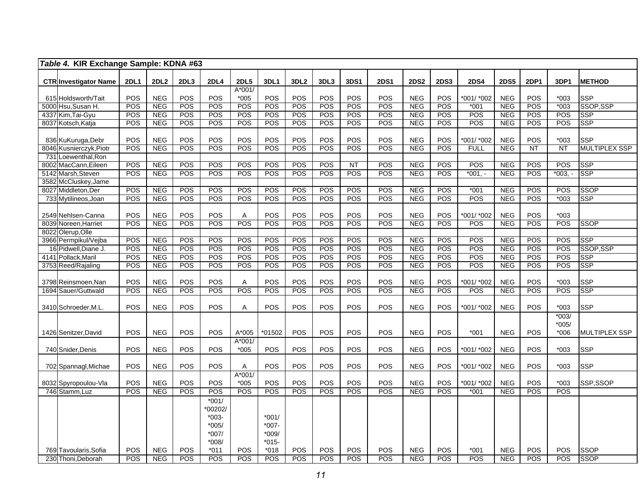| Table 4. KIR Exchange Sample: KDNA #63      |             |                  |            |                    |                       |                    |                  |            |                  |             |             |             |             |             |      |                   |                      |
|---------------------------------------------|-------------|------------------|------------|--------------------|-----------------------|--------------------|------------------|------------|------------------|-------------|-------------|-------------|-------------|-------------|------|-------------------|----------------------|
|                                             |             |                  |            |                    |                       |                    |                  |            |                  |             |             |             |             |             |      |                   |                      |
| <b>CTR Investigator Name</b>                | <b>2DL1</b> | 2DL <sub>2</sub> | 2DL3       | <b>2DL4</b>        | <b>2DL5</b><br>A*001/ | 3DL1               | 3DL <sub>2</sub> | 3DL3       | 3DS1             | <b>2DS1</b> | <b>2DS2</b> | <b>2DS3</b> | <b>2DS4</b> | <b>2DS5</b> | 2DP1 | 3DP1              | <b>METHOD</b>        |
| 615 Holdsworth/Tait                         | POS         | <b>NEG</b>       | POS        | POS                | $*005$                | POS                | POS              | POS        | POS              | POS         | <b>NEG</b>  | POS         | *001/ *002  | <b>NEG</b>  | POS  | $*003$            | <b>SSP</b>           |
| 5000 Hsu, Susan H.                          | POS         | <b>NEG</b>       | POS        | POS                | POS                   | POS                | POS              | POS        | POS              | POS         | <b>NEG</b>  | POS         | $*001$      | <b>NEG</b>  | POS  | $*003$            | SSOP, SSP            |
| 4337 Kim, Tai-Gyu                           | POS         | <b>NEG</b>       | POS        | POS                | POS                   | POS                | POS              | POS        | POS              | POS         | <b>NEG</b>  | <b>POS</b>  | POS         | <b>NEG</b>  | POS  | POS               | <b>SSP</b>           |
| 8037 Kotsch, Katja                          | POS         | <b>NEG</b>       | <b>POS</b> | <b>POS</b>         | POS                   | POS                | POS              | POS        | <b>POS</b>       | <b>POS</b>  | <b>NEG</b>  | <b>POS</b>  | POS         | <b>NEG</b>  | POS  | POS               | <b>SSP</b>           |
|                                             |             |                  |            |                    |                       |                    |                  |            |                  |             |             |             |             |             |      |                   |                      |
| 836 KuKuruga, Debr                          | POS         | <b>NEG</b>       | POS        | POS                | POS                   | POS                | POS              | POS        | POS              | POS         | <b>NEG</b>  | POS         | *001/ *002  | <b>NEG</b>  | POS  | $*003$            | <b>SSP</b>           |
| 8046 Kusnierczyk, Piotr                     | <b>POS</b>  | <b>NEG</b>       | POS        | POS                | POS                   | POS                | POS              | POS        | POS              | <b>POS</b>  | <b>NEG</b>  | POS         | <b>FULL</b> | <b>NEG</b>  | NT   | <b>NT</b>         | <b>MULTIPLEX SSP</b> |
| 731 Loewenthal, Ron                         |             |                  |            |                    |                       |                    |                  |            |                  |             |             |             |             |             |      |                   |                      |
| 8002 MacCann, Eileen                        | POS         | <b>NEG</b>       | POS        | POS                | POS                   | $\overline{POS}$   | POS              | POS        | $\overline{NT}$  | POS         | <b>NEG</b>  | POS         | POS         | NEG         | POS  | POS               | <b>SSP</b>           |
| 5142 Marsh, Steven                          | POS         | <b>NEG</b>       | POS        | POS                | POS                   | <b>POS</b>         | POS              | POS        | $\overline{POS}$ | POS         | <b>NEG</b>  | POS         | $*001,-$    | <b>NEG</b>  | POS  | $*003, -$         | <b>SSP</b>           |
| 3582 McCluskey, Jame<br>8027 Middleton, Der | POS         | <b>NEG</b>       | POS        | POS                | POS                   | POS                | POS              | POS        | POS              | POS         | <b>NEG</b>  | POS         | $*001$      | <b>NEG</b>  | POS  | POS               | <b>SSOP</b>          |
| 733 Mytilineos, Joan                        | POS         | <b>NEG</b>       | <b>POS</b> | <b>POS</b>         | POS                   | <b>POS</b>         | POS              | POS        | POS              | <b>POS</b>  | <b>NEG</b>  | <b>POS</b>  | POS         | <b>NEG</b>  | POS  | $*003$            | <b>SSP</b>           |
|                                             |             |                  |            |                    |                       |                    |                  |            |                  |             |             |             |             |             |      |                   |                      |
| 2549 Nehlsen-Canna                          | POS         | <b>NEG</b>       | POS        | POS                | A                     | POS                | POS              | POS        | POS              | POS         | <b>NEG</b>  | POS         | *001/ *002  | <b>NEG</b>  | POS  | $*003$            |                      |
| 8039 Noreen.Harriet                         | POS         | <b>NEG</b>       | POS        | POS                | POS                   | <b>POS</b>         | POS              | POS        | POS              | POS         | <b>NEG</b>  | <b>POS</b>  | POS         | NEG         | POS  | POS               | <b>SSOP</b>          |
| 8022 Olerup, Olle                           |             |                  |            |                    |                       |                    |                  |            |                  |             |             |             |             |             |      |                   |                      |
| 3966 Permpikul/Vejba                        | POS         | <b>NEG</b>       | POS        | POS                | POS                   | <b>POS</b>         | POS              | POS        | POS              | POS         | <b>NEG</b>  | POS         | POS         | <b>NEG</b>  | POS  | POS               | <b>SSP</b>           |
| 16 Pidwell, Diane J.                        | POS         | <b>NEG</b>       | POS        | <b>POS</b>         | POS                   | <b>POS</b>         | <b>POS</b>       | POS        | POS              | POS         | <b>NEG</b>  | POS         | POS         | <b>NEG</b>  | POS  | POS               | SSOP, SSP            |
| 4141 Pollack, Maril                         | POS         | <b>NEG</b>       | POS        | POS                | POS                   | POS                | POS              | POS        | POS              | POS         | <b>NEG</b>  | POS         | POS         | <b>NEG</b>  | POS  | POS               | <b>SSP</b>           |
| 3753 Reed/Rajaling                          | POS         | <b>NEG</b>       | POS        | <b>POS</b>         | POS                   | POS                | POS              | POS        | POS              | POS         | <b>NEG</b>  | <b>POS</b>  | POS         | <b>NEG</b>  | POS  | POS               | <b>SSP</b>           |
|                                             |             |                  |            |                    |                       |                    |                  |            |                  |             |             |             |             |             |      |                   |                      |
| 3798 Reinsmoen, Nan                         | POS         | <b>NEG</b>       | POS        | POS                | A                     | POS                | POS              | POS        | POS              | POS         | <b>NEG</b>  | <b>POS</b>  | *001/ *002  | <b>NEG</b>  | POS  | $*003$            | <b>SSP</b>           |
| 1694 Sauer/Guttwald                         | POS         | <b>NEG</b>       | <b>POS</b> | <b>POS</b>         | POS                   | <b>POS</b>         | <b>POS</b>       | POS        | POS              | <b>POS</b>  | <b>NEG</b>  | POS         | POS         | <b>NEG</b>  | POS  | POS               | <b>SSP</b>           |
|                                             |             |                  |            | POS                |                       |                    |                  |            |                  |             |             |             |             |             |      |                   |                      |
| 3410 Schroeder, M.L.                        | <b>POS</b>  | <b>NEG</b>       | POS        |                    | $\overline{A}$        | POS                | POS              | POS        | POS              | POS         | <b>NEG</b>  | <b>POS</b>  | *001/ *002  | <b>NEG</b>  | POS  | $*003$<br>$*003/$ | <b>SSP</b>           |
|                                             |             |                  |            |                    |                       |                    |                  |            |                  |             |             |             |             |             |      | $*005/$           |                      |
| 1426 Senitzer, David                        | POS         | <b>NEG</b>       | POS        | POS                | A*005                 | *01502             | POS              | <b>POS</b> | POS              | POS         | <b>NEG</b>  | POS         | $*001$      | <b>NEG</b>  | POS  | $*006$            | <b>MULTIPLEX SSP</b> |
|                                             |             |                  |            |                    | $A*001$               |                    |                  |            |                  |             |             |             |             |             |      |                   |                      |
| 740 Snider, Denis                           | POS         | <b>NEG</b>       | POS        | <b>POS</b>         | $*005$                | POS                | POS              | POS        | POS              | POS         | <b>NEG</b>  | POS         | *001/ *002  | <b>NEG</b>  | POS  | $*003$            | <b>SSP</b>           |
|                                             |             |                  |            |                    |                       |                    |                  |            |                  |             |             |             |             |             |      |                   |                      |
| 702 Spannagl, Michae                        | POS         | <b>NEG</b>       | POS        | <b>POS</b>         | Α                     | <b>POS</b>         | POS              | POS        | POS              | POS         | <b>NEG</b>  | <b>POS</b>  | *001/ *002  | <b>NEG</b>  | POS  | $*003$            | <b>SSP</b>           |
|                                             |             |                  |            |                    | A*001/                |                    |                  |            |                  |             |             |             |             |             |      |                   |                      |
| 8032 Spyropoulou-Vla                        | POS         | <b>NEG</b>       | POS        | POS                | $*005$                | POS                | <b>POS</b>       | <b>POS</b> | <b>POS</b>       | <b>POS</b>  | <b>NEG</b>  | <b>POS</b>  | *001/ *002  | <b>NEG</b>  | POS  | $*003$            | SSP,SSOP             |
| 746 Stamm, Luz                              | POS         | <b>NEG</b>       | POS        | POS                | POS                   | POS                | POS              | POS        | POS              | POS         | <b>NEG</b>  | POS         | $*001$      | <b>NEG</b>  | POS  | POS               |                      |
|                                             |             |                  |            | $*001/$            |                       |                    |                  |            |                  |             |             |             |             |             |      |                   |                      |
|                                             |             |                  |            | *00202/            |                       |                    |                  |            |                  |             |             |             |             |             |      |                   |                      |
|                                             |             |                  |            | $*003-$<br>$*005/$ |                       | $*001/$<br>$*007-$ |                  |            |                  |             |             |             |             |             |      |                   |                      |
|                                             |             |                  |            | *007/              |                       | *009/              |                  |            |                  |             |             |             |             |             |      |                   |                      |
|                                             |             |                  |            | $*008/$            |                       | $*015-$            |                  |            |                  |             |             |             |             |             |      |                   |                      |
| 769 Tavoularis, Sofia                       | POS         | <b>NEG</b>       | POS        | $*011$             | <b>POS</b>            | $*018$             | POS              | POS        | <b>POS</b>       | POS         | <b>NEG</b>  | <b>POS</b>  | $*001$      | <b>NEG</b>  | POS  | POS               | <b>SSOP</b>          |
| 230 Thoni, Deborah                          | POS         | <b>NEG</b>       | <b>POS</b> | <b>POS</b>         | POS                   | POS                | POS              | POS        | <b>POS</b>       | <b>POS</b>  | <b>NEG</b>  | <b>POS</b>  | <b>POS</b>  | <b>NEG</b>  | POS  | <b>POS</b>        | <b>SSOP</b>          |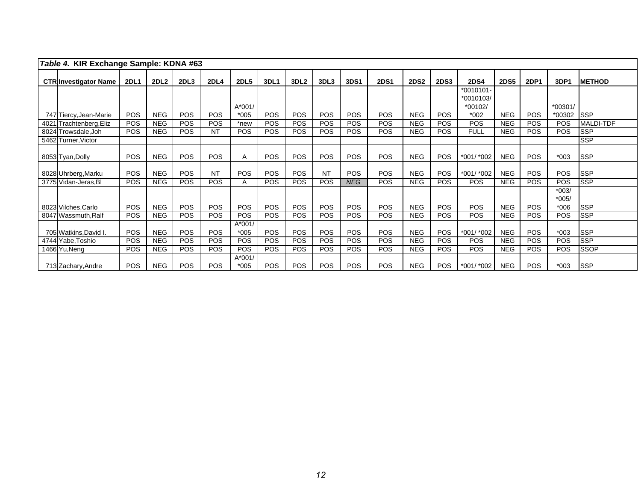| Table 4. KIR Exchange Sample: KDNA #63 |             |                  |            |             |                    |            |                  |            |            |             |             |             |                                       |             |             |                              |                  |
|----------------------------------------|-------------|------------------|------------|-------------|--------------------|------------|------------------|------------|------------|-------------|-------------|-------------|---------------------------------------|-------------|-------------|------------------------------|------------------|
| <b>CTR Investigator Name</b>           | <b>2DL1</b> | 2DL <sub>2</sub> | 2DL3       | <b>2DL4</b> | <b>2DL5</b>        | 3DL1       | 3DL <sub>2</sub> | 3DL3       | 3DS1       | <b>2DS1</b> | <b>2DS2</b> | <b>2DS3</b> | <b>2DS4</b>                           | <b>2DS5</b> | <b>2DP1</b> | 3DP1                         | <b>METHOD</b>    |
|                                        |             |                  |            |             | $A*001/$           |            |                  |            |            |             |             |             | $*0010101-$<br>$*0010103/$<br>*00102/ |             |             | *00301/                      |                  |
| 747 Tiercy, Jean-Marie                 | <b>POS</b>  | <b>NEG</b>       | <b>POS</b> | <b>POS</b>  | $*005$             | <b>POS</b> | <b>POS</b>       | POS        | <b>POS</b> | <b>POS</b>  | <b>NEG</b>  | POS         | $*002$                                | <b>NEG</b>  | <b>POS</b>  | *00302                       | <b>SSP</b>       |
| 4021 Trachtenberg, Eliz                | <b>POS</b>  | <b>NEG</b>       | <b>POS</b> | <b>POS</b>  | *new               | <b>POS</b> | <b>POS</b>       | <b>POS</b> | <b>POS</b> | <b>POS</b>  | <b>NEG</b>  | <b>POS</b>  | <b>POS</b>                            | <b>NEG</b>  | <b>POS</b>  | <b>POS</b>                   | <b>MALDI-TDF</b> |
| 8024 Trowsdale, Joh                    | <b>POS</b>  | <b>NEG</b>       | <b>POS</b> | <b>NT</b>   | <b>POS</b>         | POS        | <b>POS</b>       | <b>POS</b> | <b>POS</b> | <b>POS</b>  | <b>NEG</b>  | <b>POS</b>  | <b>FULL</b>                           | <b>NEG</b>  | POS         | POS                          | <b>SSP</b>       |
| 5462 Turner, Victor                    |             |                  |            |             |                    |            |                  |            |            |             |             |             |                                       |             |             |                              | <b>SSP</b>       |
| 8053 Tyan, Dolly                       | POS         | <b>NEG</b>       | POS        | <b>POS</b>  | A                  | <b>POS</b> | <b>POS</b>       | POS        | <b>POS</b> | <b>POS</b>  | <b>NEG</b>  | POS         | *001/ *002                            | <b>NEG</b>  | <b>POS</b>  | $*003$                       | <b>SSP</b>       |
| 8028 Uhrberg, Marku                    | <b>POS</b>  | <b>NEG</b>       | POS        | <b>NT</b>   | <b>POS</b>         | <b>POS</b> | <b>POS</b>       | <b>NT</b>  | <b>POS</b> | POS.        | <b>NEG</b>  | <b>POS</b>  | *001/ *002                            | <b>NEG</b>  | <b>POS</b>  | <b>POS</b>                   | <b>SSP</b>       |
| 3775 Vidan-Jeras, BI                   | <b>POS</b>  | <b>NEG</b>       | <b>POS</b> | <b>POS</b>  | A                  | <b>POS</b> | <b>POS</b>       | <b>POS</b> | <b>NEG</b> | <b>POS</b>  | <b>NEG</b>  | <b>POS</b>  | <b>POS</b>                            | <b>NEG</b>  | <b>POS</b>  | <b>POS</b>                   | <b>SSP</b>       |
| 8023 Vilches, Carlo                    | <b>POS</b>  | <b>NEG</b>       | <b>POS</b> | <b>POS</b>  | POS                | <b>POS</b> | <b>POS</b>       | <b>POS</b> | <b>POS</b> | <b>POS</b>  | <b>NEG</b>  | POS         | <b>POS</b>                            | <b>NEG</b>  | <b>POS</b>  | $*003/$<br>$*005/$<br>$*006$ | <b>SSP</b>       |
| 8047 Wassmuth, Ralf                    | <b>POS</b>  | <b>NEG</b>       | <b>POS</b> | <b>POS</b>  | <b>POS</b>         | <b>POS</b> | <b>POS</b>       | <b>POS</b> | <b>POS</b> | <b>POS</b>  | <b>NEG</b>  | <b>POS</b>  | <b>POS</b>                            | <b>NEG</b>  | <b>POS</b>  | <b>POS</b>                   | <b>SSP</b>       |
| 705 Watkins, David I.                  | <b>POS</b>  | <b>NEG</b>       | <b>POS</b> | <b>POS</b>  | $A*001/$<br>$*005$ | <b>POS</b> | <b>POS</b>       | <b>POS</b> | <b>POS</b> | <b>POS</b>  | <b>NEG</b>  | <b>POS</b>  | *001/ *002                            | <b>NEG</b>  | <b>POS</b>  | $*003$                       | <b>SSP</b>       |
| 4744 Yabe, Toshio                      | <b>POS</b>  | <b>NEG</b>       | <b>POS</b> | <b>POS</b>  | <b>POS</b>         | POS        | <b>POS</b>       | <b>POS</b> | <b>POS</b> | <b>POS</b>  | <b>NEG</b>  | <b>POS</b>  | <b>POS</b>                            | <b>NEG</b>  | <b>POS</b>  | <b>POS</b>                   | <b>SSP</b>       |
| 1466 Yu, Neng                          | <b>POS</b>  | <b>NEG</b>       | <b>POS</b> | <b>POS</b>  | POS                | POS        | <b>POS</b>       | <b>POS</b> | <b>POS</b> | <b>POS</b>  | <b>NEG</b>  | POS         | POS                                   | <b>NEG</b>  | <b>POS</b>  | POS                          | <b>SSOP</b>      |
| 713 Zachary, Andre                     | <b>POS</b>  | <b>NEG</b>       | POS        | <b>POS</b>  | $A*001/$<br>$*005$ | <b>POS</b> | <b>POS</b>       | <b>POS</b> | <b>POS</b> | <b>POS</b>  | <b>NEG</b>  | POS         | *001/ *002                            | <b>NEG</b>  | <b>POS</b>  | $*003$                       | <b>SSP</b>       |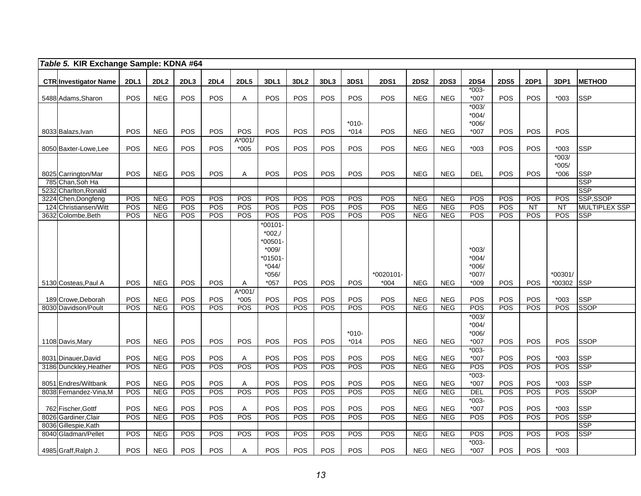|      | Table 5. KIR Exchange Sample: KDNA #64      |             |                  |                  |             |                  |                                                                           |                  |      |                   |             |             |             |                                          |             |             |                              |                          |
|------|---------------------------------------------|-------------|------------------|------------------|-------------|------------------|---------------------------------------------------------------------------|------------------|------|-------------------|-------------|-------------|-------------|------------------------------------------|-------------|-------------|------------------------------|--------------------------|
|      | <b>CTR Investigator Name</b>                | <b>2DL1</b> | 2DL <sub>2</sub> | 2DL <sub>3</sub> | <b>2DL4</b> | <b>2DL5</b>      | 3DL1                                                                      | 3DL <sub>2</sub> | 3DL3 | 3DS1              | <b>2DS1</b> | <b>2DS2</b> | <b>2DS3</b> | <b>2DS4</b>                              | <b>2DS5</b> | <b>2DP1</b> | 3DP1                         | <b>METHOD</b>            |
|      | 5488 Adams, Sharon                          | <b>POS</b>  | <b>NEG</b>       | POS              | <b>POS</b>  | Α                | POS                                                                       | <b>POS</b>       | POS  | <b>POS</b>        | <b>POS</b>  | <b>NEG</b>  | <b>NEG</b>  | $*003-$<br>$*007$                        | <b>POS</b>  | POS         | $*003$                       | <b>SSP</b>               |
|      | 8033 Balazs, Ivan                           | <b>POS</b>  | <b>NEG</b>       | <b>POS</b>       | <b>POS</b>  | POS              | POS                                                                       | POS              | POS  | $*010-$<br>$*014$ | POS         | <b>NEG</b>  | <b>NEG</b>  | $*003/$<br>$*004/$<br>$*006/$<br>$*007$  | <b>POS</b>  | <b>POS</b>  | POS                          |                          |
|      | 8050 Baxter-Lowe, Lee                       | POS         | <b>NEG</b>       | POS              | POS         | A*001/<br>$*005$ | <b>POS</b>                                                                | POS              | POS  | POS               | POS         | <b>NEG</b>  | <b>NEG</b>  | $*003$                                   | POS         | POS         | $*003$                       | <b>SSP</b>               |
|      | 8025 Carrington/Mar                         | POS         | <b>NEG</b>       | POS              | POS         | A                | POS                                                                       | POS              | POS  | <b>POS</b>        | POS         | <b>NEG</b>  | <b>NEG</b>  | <b>DEL</b>                               | POS         | POS         | $*003/$<br>$*005/$<br>$*006$ | <b>SSP</b>               |
|      | 785 Chan.Soh Ha<br>5232 Charlton, Ronald    |             |                  |                  |             |                  |                                                                           |                  |      |                   |             |             |             |                                          |             |             |                              | <b>SSP</b><br><b>SSP</b> |
| 3224 | Chen, Dongfeng                              | POS         | <b>NEG</b>       | POS              | POS         | POS              | POS                                                                       | POS              | POS  | <b>POS</b>        | POS         | <b>NEG</b>  | <b>NEG</b>  | <b>POS</b>                               | POS         | POS         | POS                          | SSP,SSOP                 |
|      | 124 Christiansen/Witt                       | POS         | <b>NEG</b>       | POS              | POS         | POS              | POS                                                                       | POS              | POS  | POS               | POS         | <b>NEG</b>  | <b>NEG</b>  | POS                                      | <b>POS</b>  | NT          | $\overline{NT}$              | <b>MULTIPLEX SSP</b>     |
|      | 3632 Colombe, Beth                          | POS         | <b>NEG</b>       | POS              | POS         | POS              | POS                                                                       | <b>POS</b>       | POS  | POS               | POS         | <b>NEG</b>  | <b>NEG</b>  | POS                                      | POS         | POS         | POS                          | <b>SSP</b>               |
|      |                                             |             |                  |                  |             |                  | $*00101-$<br>$*002, /$<br>00501<br>$*009/$<br>01501<br>$*044/$<br>$*056/$ |                  |      |                   | *0020101-   |             |             | $*003/$<br>$*004/$<br>$*006/$<br>$*007/$ |             |             | *00301/                      |                          |
|      | 5130 Costeas, Paul A                        | <b>POS</b>  | <b>NEG</b>       | POS              | <b>POS</b>  | A                | $*057$                                                                    | <b>POS</b>       | POS  | <b>POS</b>        | $*004$      | <b>NEG</b>  | <b>NEG</b>  | $*009$                                   | <b>POS</b>  | <b>POS</b>  | *00302                       | <b>SSP</b>               |
|      | 189 Crowe, Deborah                          | POS         | <b>NEG</b>       | POS              | POS         | A*001/<br>$*005$ | POS                                                                       | POS              | POS  | POS               | <b>POS</b>  | <b>NEG</b>  | <b>NEG</b>  | POS                                      | POS         | POS         | $*003$                       | <b>SSP</b>               |
|      | 8030 Davidson/Poult                         | <b>POS</b>  | <b>NEG</b>       | POS              | <b>POS</b>  | POS              | <b>POS</b>                                                                | POS              | POS  | POS<br>$*010-$    | POS         | <b>NEG</b>  | <b>NEG</b>  | POS<br>$*003/$<br>$*004/$<br>$*006/$     | POS         | POS         | <b>POS</b>                   | <b>SSOP</b>              |
|      | 1108 Davis, Mary                            | POS         | <b>NEG</b>       | POS              | POS         | <b>POS</b>       | POS                                                                       | POS              | POS  | $*014$            | POS         | <b>NEG</b>  | <b>NEG</b>  | $*007$                                   | POS         | POS         | POS                          | <b>SSOP</b>              |
|      | 8031 Dinauer, David                         | POS         | <b>NEG</b>       | POS              | <b>POS</b>  | Α                | POS                                                                       | POS              | POS  | POS               | POS         | <b>NEG</b>  | <b>NEG</b>  | $*003-$<br>$*007$                        | POS         | POS         | $*003$                       | <b>SSP</b>               |
|      | 3186 Dunckley, Heather                      | POS         | <b>NEG</b>       | POS              | POS         | POS              | <b>POS</b>                                                                | POS              | POS  | POS               | POS         | <b>NEG</b>  | <b>NEG</b>  | POS                                      | <b>POS</b>  | POS         | <b>POS</b>                   | <b>SSP</b>               |
|      | 8051 Endres/Wiltbank                        | POS         | <b>NEG</b>       | POS              | <b>POS</b>  | A                | POS                                                                       | POS              | POS  | POS               | POS         | <b>NEG</b>  | <b>NEG</b>  | $*003-$<br>$*007$                        | POS         | POS         | $*003$                       | <b>SSP</b>               |
|      | 8038 Fernandez-Vina, M                      | POS         | <b>NEG</b>       | POS              | POS         | POS              | POS                                                                       | POS              | POS  | POS               | POS         | <b>NEG</b>  | <b>NEG</b>  | <b>DEL</b>                               | <b>POS</b>  | POS         | POS                          | <b>SSOP</b>              |
|      | 762 Fischer, Gottf                          | POS         | <b>NEG</b>       | POS              | POS         | Α                | POS                                                                       | POS              | POS  | POS               | POS         | <b>NEG</b>  | <b>NEG</b>  | $*003-$<br>$*007$                        | POS         | POS         | $*003$                       | <b>SSP</b>               |
|      | 8026 Gardiner, Clair                        | <b>POS</b>  | NEG              | POS              | POS         | POS              | POS                                                                       | POS              | POS  | <b>POS</b>        | POS         | NEG         | <b>NEG</b>  | POS                                      | POS         | POS         | POS                          | <b>SSP</b>               |
|      | 8036 Gillespie, Kath<br>8040 Gladman/Pellet | POS         | <b>NEG</b>       | POS              | POS         | POS              | POS                                                                       | POS              | POS  | POS               | POS         | <b>NEG</b>  | <b>NEG</b>  | POS                                      | POS         | POS         | POS                          | <b>SSP</b><br><b>SSP</b> |
|      | 4985 Graff, Ralph J.                        | POS         | <b>NEG</b>       | POS              | POS         | Α                | POS                                                                       | POS              | POS  | POS               | POS         | <b>NEG</b>  | <b>NEG</b>  | $*003-$<br>$*007$                        | <b>POS</b>  | <b>POS</b>  | $*003$                       |                          |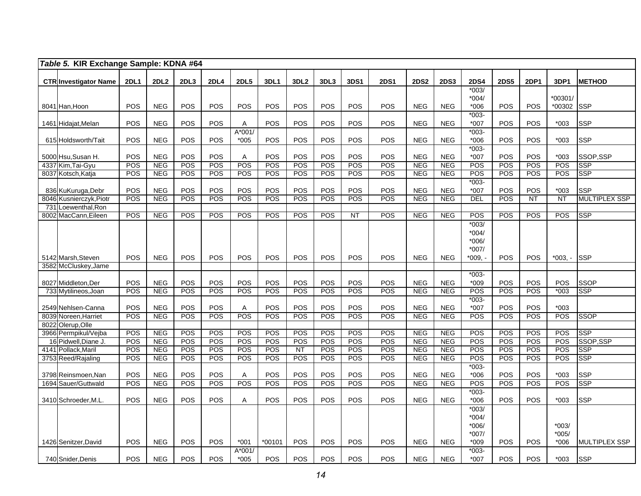|     | Table 5. KIR Exchange Sample: KDNA #64        |                   |                          |            |                   |                     |            |                  |            |                   |                   |                          |                          |                    |                   |             |                     |                                    |
|-----|-----------------------------------------------|-------------------|--------------------------|------------|-------------------|---------------------|------------|------------------|------------|-------------------|-------------------|--------------------------|--------------------------|--------------------|-------------------|-------------|---------------------|------------------------------------|
|     |                                               |                   | <b>2DL2</b>              | 2DL3       | <b>2DL4</b>       |                     | 3DL1       | 3DL <sub>2</sub> | 3DL3       | 3DS1              | <b>2DS1</b>       |                          |                          | <b>2DS4</b>        | <b>2DS5</b>       | <b>2DP1</b> | 3DP1                |                                    |
|     | <b>CTR Investigator Name</b>                  | <b>2DL1</b>       |                          |            |                   | <b>2DL5</b>         |            |                  |            |                   |                   | <b>2DS2</b>              | <b>2DS3</b>              | $*003/$            |                   |             |                     | <b>METHOD</b>                      |
|     |                                               |                   |                          |            |                   |                     |            |                  |            |                   |                   |                          |                          | $*004/$            |                   |             | *00301/             |                                    |
|     | 8041 Han, Hoon                                | <b>POS</b>        | <b>NEG</b>               | POS        | POS               | <b>POS</b>          | POS        | <b>POS</b>       | POS        | <b>POS</b>        | <b>POS</b>        | <b>NEG</b>               | <b>NEG</b>               | $*006$             | POS               | <b>POS</b>  | *00302              | <b>SSP</b>                         |
|     |                                               |                   |                          |            |                   |                     |            |                  |            |                   |                   |                          |                          | $*003-$            |                   |             |                     |                                    |
|     | 1461 Hidajat, Melan                           | <b>POS</b>        | <b>NEG</b>               | POS        | POS               | A                   | POS        | POS              | POS        | <b>POS</b>        | <b>POS</b>        | <b>NEG</b>               | <b>NEG</b>               | $*007$             | <b>POS</b>        | POS         | $*003$              | <b>SSP</b>                         |
|     | 615 Holdsworth/Tait                           | POS               | <b>NEG</b>               | POS        | POS               | A*001/<br>$*005$    | POS        | POS              | POS        | <b>POS</b>        | POS               | <b>NEG</b>               | <b>NEG</b>               | $*003-$<br>$*006$  | <b>POS</b>        | POS         | $*003$              | <b>SSP</b>                         |
|     |                                               |                   |                          |            |                   |                     |            |                  |            |                   |                   |                          |                          | $*003-$            |                   |             |                     |                                    |
|     | 5000 Hsu,Susan H.                             | POS               | <b>NEG</b>               | POS        | POS               | A                   | POS        | POS              | POS        | <b>POS</b>        | <b>POS</b>        | <b>NEG</b>               | <b>NEG</b>               | *007               | POS               | POS         | $*003$              | SSOP,SSP                           |
|     | 4337 Kim, Tai-Gyu                             | POS               | <b>NEG</b>               | POS        | POS               | POS                 | POS        | POS              | POS        | POS               | POS               | <b>NEG</b>               | <b>NEG</b>               | POS                | POS               | POS         | POS                 | <b>SSP</b>                         |
|     | 8037 Kotsch, Katja                            | POS               | <b>NEG</b>               | POS        | POS               | POS                 | POS        | POS              | POS        | POS               | <b>POS</b>        | <b>NEG</b>               | <b>NEG</b>               | POS                | POS               | <b>POS</b>  | <b>POS</b>          | <b>SSP</b>                         |
|     |                                               |                   |                          |            | POS               | POS                 | POS        | POS              | POS        |                   |                   | <b>NEG</b>               |                          | $*003-$            |                   |             |                     |                                    |
|     | 836 KuKuruga, Debr<br>8046 Kusnierczyk, Piotr | POS<br>POS        | <b>NEG</b><br><b>NEG</b> | POS<br>POS | POS               | POS                 | POS        | POS              | POS        | POS<br>POS        | <b>POS</b><br>POS | <b>NEG</b>               | <b>NEG</b><br><b>NEG</b> | *007<br><b>DEL</b> | POS<br><b>POS</b> | POS<br>NT   | $*003$<br><b>NT</b> | <b>SSP</b><br><b>MULTIPLEX SSP</b> |
| 731 | Loewenthal, Ron                               |                   |                          |            |                   |                     |            |                  |            |                   |                   |                          |                          |                    |                   |             |                     |                                    |
|     | 8002 MacCann, Eileen                          | <b>POS</b>        | <b>NEG</b>               | POS        | <b>POS</b>        | POS                 | POS        | POS              | POS        | NT                | <b>POS</b>        | <b>NEG</b>               | <b>NEG</b>               | POS                | POS               | POS         | <b>POS</b>          | <b>SSP</b>                         |
|     |                                               |                   |                          |            |                   |                     |            |                  |            |                   |                   |                          |                          | $*003/$            |                   |             |                     |                                    |
|     |                                               |                   |                          |            |                   |                     |            |                  |            |                   |                   |                          |                          | $*004/$            |                   |             |                     |                                    |
|     |                                               |                   |                          |            |                   |                     |            |                  |            |                   |                   |                          |                          | $*006/$            |                   |             |                     |                                    |
|     | 5142 Marsh, Steven                            | POS               | <b>NEG</b>               | POS        | POS               | POS                 | POS        | POS              | POS        | POS               | POS               | <b>NEG</b>               | <b>NEG</b>               | $*007/$<br>*009. - | POS               | <b>POS</b>  | *003. -             | <b>SSP</b>                         |
|     | 3582 McCluskey, Jame                          |                   |                          |            |                   |                     |            |                  |            |                   |                   |                          |                          |                    |                   |             |                     |                                    |
|     |                                               |                   |                          |            |                   |                     |            |                  |            |                   |                   |                          |                          | $*003-$            |                   |             |                     |                                    |
|     | 8027 Middleton, Der                           | POS               | <b>NEG</b>               | POS        | POS               | POS                 | POS        | POS              | POS        | POS               | <b>POS</b>        | <b>NEG</b>               | <b>NEG</b>               | $*009$             | POS               | POS         | <b>POS</b>          | <b>SSOP</b>                        |
|     | 733 Mytilineos, Joan                          | POS               | <b>NEG</b>               | POS        | <b>POS</b>        | POS                 | POS        | POS              | POS        | <b>POS</b>        | POS               | <b>NEG</b>               | <b>NEG</b>               | POS                | <b>POS</b>        | POS         | $*003$              | <b>SSP</b>                         |
|     |                                               |                   |                          |            |                   |                     |            |                  |            |                   |                   |                          |                          | $*003-$            |                   |             |                     |                                    |
|     | 2549 Nehlsen-Canna<br>8039 Noreen, Harriet    | <b>POS</b><br>POS | <b>NEG</b><br><b>NEG</b> | POS<br>POS | <b>POS</b><br>POS | $\mathsf{A}$<br>POS | POS<br>POS | POS<br>POS       | POS<br>POS | <b>POS</b><br>POS | <b>POS</b><br>POS | <b>NEG</b><br><b>NEG</b> | <b>NEG</b><br><b>NEG</b> | $*007$<br>POS      | POS<br>POS        | POS<br>POS  | $*003$<br>POS       | <b>SSOP</b>                        |
|     | 8022 Olerup, Olle                             |                   |                          |            |                   |                     |            |                  |            |                   |                   |                          |                          |                    |                   |             |                     |                                    |
|     | 3966 Permpikul/Vejba                          | POS               | <b>NEG</b>               | POS        | POS               | POS                 | POS        | POS              | POS        | POS               | POS               | <b>NEG</b>               | <b>NEG</b>               | POS                | POS               | POS         | POS                 | <b>SSP</b>                         |
|     | 16 Pidwell, Diane J.                          | POS               | <b>NEG</b>               | POS        | POS               | POS                 | POS        | POS              | POS        | <b>POS</b>        | POS               | <b>NEG</b>               | <b>NEG</b>               | POS                | POS               | POS         | POS                 | SSOP, SSP                          |
|     | 4141 Pollack, Maril                           | POS               | <b>NEG</b>               | POS        | POS               | POS                 | POS        | $\overline{NT}$  | POS        | POS               | POS               | <b>NEG</b>               | <b>NEG</b>               | POS                | POS               | POS         | POS                 | <b>SSP</b>                         |
|     | 3753 Reed/Rajaling                            | POS               | <b>NEG</b>               | POS        | POS               | POS                 | POS        | POS              | POS        | POS               | POS               | <b>NEG</b>               | <b>NEG</b>               | POS                | POS               | POS         | POS                 | <b>SSP</b>                         |
|     |                                               | POS               | <b>NEG</b>               | POS        | POS               |                     | POS        | POS              | POS        | POS               | POS               | <b>NEG</b>               | <b>NEG</b>               | $*003-$<br>$*006$  | POS               | POS         | $*003$              | <b>SSP</b>                         |
|     | 3798 Reinsmoen, Nan<br>1694 Sauer/Guttwald    | POS               | <b>NEG</b>               | POS        | POS               | Α<br>POS            | POS        | POS              | POS        | POS               | POS               | NEG                      | <b>NEG</b>               | POS                | POS               | POS         | POS                 | <b>SSP</b>                         |
|     |                                               |                   |                          |            |                   |                     |            |                  |            |                   |                   |                          |                          | $*003-$            |                   |             |                     |                                    |
|     | 3410 Schroeder, M.L.                          | POS               | <b>NEG</b>               | POS        | <b>POS</b>        | Α                   | POS        | POS              | POS        | <b>POS</b>        | POS               | <b>NEG</b>               | <b>NEG</b>               | $*006$             | <b>POS</b>        | POS         | $*003$              | <b>SSP</b>                         |
|     |                                               |                   |                          |            |                   |                     |            |                  |            |                   |                   |                          |                          | $*003/$            |                   |             |                     |                                    |
|     |                                               |                   |                          |            |                   |                     |            |                  |            |                   |                   |                          |                          | $*004/$            |                   |             |                     |                                    |
|     |                                               |                   |                          |            |                   |                     |            |                  |            |                   |                   |                          |                          | $*006/$            |                   |             | $*003/$             |                                    |
|     | 1426 Senitzer, David                          | <b>POS</b>        | <b>NEG</b>               | POS        | POS               | $*001$              | $*00101$   | POS              | POS        | POS               | POS               | <b>NEG</b>               | <b>NEG</b>               | $*007/$<br>$*009$  | <b>POS</b>        | <b>POS</b>  | $*005/$<br>$*006$   | <b>MULTIPLEX SSP</b>               |
|     |                                               |                   |                          |            |                   | A*001/              |            |                  |            |                   |                   |                          |                          | $*003-$            |                   |             |                     |                                    |
|     | 740 Snider, Denis                             | POS               | <b>NEG</b>               | POS        | POS               | $*005$              | POS        | POS              | POS        | <b>POS</b>        | POS               | <b>NEG</b>               | <b>NEG</b>               | *007               | <b>POS</b>        | POS         | $*003$              | <b>SSP</b>                         |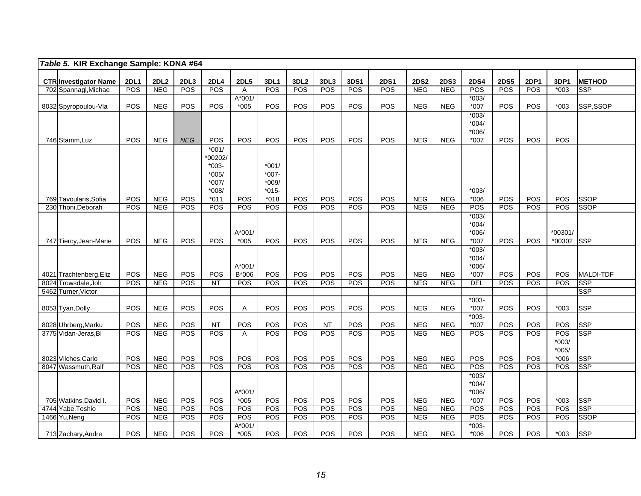| Table 5. KIR Exchange Sample: KDNA #64                                                                                                                                                                                                                                                                                                            |                           |                |                             |  |  |  |  |  |  |  |  |  |
|---------------------------------------------------------------------------------------------------------------------------------------------------------------------------------------------------------------------------------------------------------------------------------------------------------------------------------------------------|---------------------------|----------------|-----------------------------|--|--|--|--|--|--|--|--|--|
|                                                                                                                                                                                                                                                                                                                                                   |                           |                |                             |  |  |  |  |  |  |  |  |  |
| <b>2DL1</b><br>2DL2<br>2DL3<br>2DL4<br><b>2DL5</b><br>3DL1<br>3DL2<br>3DL3<br>3DS1<br><b>2DS1</b><br><b>2DS2</b><br><b>2DS3</b><br><b>2DS4</b><br><b>2DS5</b><br><b>CTR Investigator Name</b><br>POS<br>POS<br>POS<br><b>NEG</b><br>POS<br><b>POS</b><br>POS<br><b>NEG</b><br>POS<br>POS<br>POS<br>POS<br>702 Spannagl, Michae<br><b>NEG</b><br>A | <b>2DP1</b><br><b>POS</b> | 3DP1<br>$*003$ | <b>METHOD</b><br><b>SSP</b> |  |  |  |  |  |  |  |  |  |
| $*003/$<br>A*001/                                                                                                                                                                                                                                                                                                                                 |                           |                |                             |  |  |  |  |  |  |  |  |  |
| POS<br>POS<br>POS<br>POS<br>POS<br>POS<br>POS<br>POS<br>POS<br><b>NEG</b><br>$*005$<br><b>NEG</b><br><b>NEG</b><br>*007<br>8032 Spyropoulou-Vla                                                                                                                                                                                                   | POS                       | $*003$         | SSP,SSOP                    |  |  |  |  |  |  |  |  |  |
| $*003/$                                                                                                                                                                                                                                                                                                                                           |                           |                |                             |  |  |  |  |  |  |  |  |  |
| $*004/$                                                                                                                                                                                                                                                                                                                                           |                           |                |                             |  |  |  |  |  |  |  |  |  |
| $*006/$                                                                                                                                                                                                                                                                                                                                           |                           |                |                             |  |  |  |  |  |  |  |  |  |
| POS<br><b>NEG</b><br>POS<br>POS<br>POS<br>POS<br>POS<br>POS<br>POS<br><b>NEG</b><br><b>POS</b><br><b>NEG</b><br><b>NEG</b><br>$*007$<br>746 Stamm, Luz                                                                                                                                                                                            | POS                       | POS            |                             |  |  |  |  |  |  |  |  |  |
| $*001/$                                                                                                                                                                                                                                                                                                                                           |                           |                |                             |  |  |  |  |  |  |  |  |  |
| *00202/                                                                                                                                                                                                                                                                                                                                           |                           |                |                             |  |  |  |  |  |  |  |  |  |
| $*003-$<br>$*001/$                                                                                                                                                                                                                                                                                                                                |                           |                |                             |  |  |  |  |  |  |  |  |  |
| $*007-$<br>$*005/$                                                                                                                                                                                                                                                                                                                                |                           |                |                             |  |  |  |  |  |  |  |  |  |
| $*007/$<br>$*009/$                                                                                                                                                                                                                                                                                                                                |                           |                |                             |  |  |  |  |  |  |  |  |  |
| $*008/$<br>$*015-$<br>$*003/$<br>POS<br>POS<br>POS<br>POS<br>POS<br>POS<br>POS<br><b>NEG</b><br>POS<br>$*018$<br><b>NEG</b><br><b>NEG</b><br>$*006$<br>769 Tavoularis, Sofia<br>$*011$                                                                                                                                                            | POS                       | POS            | <b>SSOP</b>                 |  |  |  |  |  |  |  |  |  |
| POS<br><b>POS</b><br>POS<br><b>NEG</b><br><b>POS</b><br><b>POS</b><br>POS<br><b>POS</b><br>POS<br>POS<br>POS<br><b>NEG</b><br><b>NEG</b><br>POS<br>230 Thoni, Deborah                                                                                                                                                                             | POS                       | <b>POS</b>     | <b>SSOP</b>                 |  |  |  |  |  |  |  |  |  |
| $*003/$                                                                                                                                                                                                                                                                                                                                           |                           |                |                             |  |  |  |  |  |  |  |  |  |
| $*004/$                                                                                                                                                                                                                                                                                                                                           |                           |                |                             |  |  |  |  |  |  |  |  |  |
| $A*001/$<br>$*006/$                                                                                                                                                                                                                                                                                                                               |                           | *00301/        |                             |  |  |  |  |  |  |  |  |  |
| POS<br>POS<br>$*005$<br>POS<br>POS<br>POS<br><b>NEG</b><br>$*007$<br>POS<br><b>NEG</b><br>POS<br>POS<br><b>NEG</b><br><b>POS</b><br>747 Tiercy, Jean-Marie                                                                                                                                                                                        | POS                       | *00302 SSP     |                             |  |  |  |  |  |  |  |  |  |
| $*003/$                                                                                                                                                                                                                                                                                                                                           |                           |                |                             |  |  |  |  |  |  |  |  |  |
| $*004/$                                                                                                                                                                                                                                                                                                                                           |                           |                |                             |  |  |  |  |  |  |  |  |  |
| $A*001/$<br>$*006/$                                                                                                                                                                                                                                                                                                                               |                           |                |                             |  |  |  |  |  |  |  |  |  |
| POS<br>POS<br><b>NEG</b><br>POS<br>B*006<br>POS<br>POS<br>POS<br>POS<br>POS<br><b>NEG</b><br>$*007$<br>POS<br>4021 Trachtenberg, Eliz<br><b>NEG</b>                                                                                                                                                                                               | POS                       | POS            | <b>MALDI-TDF</b>            |  |  |  |  |  |  |  |  |  |
| POS<br>POS<br>POS<br>POS<br><b>POS</b><br>POS<br><b>NEG</b><br>POS<br><b>NT</b><br><b>POS</b><br>POS<br><b>NEG</b><br>DEL<br>8024 Trowsdale, Joh<br><b>NEG</b>                                                                                                                                                                                    | POS                       | <b>POS</b>     | <b>SSP</b>                  |  |  |  |  |  |  |  |  |  |
| 5462 Turner, Victor                                                                                                                                                                                                                                                                                                                               |                           |                | <b>SSP</b>                  |  |  |  |  |  |  |  |  |  |
| $*003-$<br><b>NEG</b><br>POS<br><b>POS</b><br>POS<br>POS<br>POS<br>POS<br>$*007$<br><b>POS</b><br>POS<br><b>POS</b><br><b>NEG</b><br><b>NEG</b>                                                                                                                                                                                                   | POS                       | $*003$         | <b>SSP</b>                  |  |  |  |  |  |  |  |  |  |
| 8053 Tyan, Dolly<br>A<br>$*003-$                                                                                                                                                                                                                                                                                                                  |                           |                |                             |  |  |  |  |  |  |  |  |  |
| <b>NEG</b><br>POS<br>POS<br>POS<br><b>NEG</b><br>POS<br><b>NT</b><br><b>POS</b><br><b>NT</b><br>POS<br>POS<br><b>NEG</b><br>$*007$<br><b>POS</b><br>8028 Uhrberg, Marku                                                                                                                                                                           | POS                       | POS            | <b>SSP</b>                  |  |  |  |  |  |  |  |  |  |
| POS<br>POS<br>POS<br>POS<br>POS<br><b>POS</b><br>3775 Vidan-Jeras, Bl<br><b>NEG</b><br>POS<br><b>POS</b><br>POS<br><b>NEG</b><br><b>NEG</b><br>POS<br>A                                                                                                                                                                                           | POS                       | <b>POS</b>     | <b>SSP</b>                  |  |  |  |  |  |  |  |  |  |
|                                                                                                                                                                                                                                                                                                                                                   |                           | $*003/$        |                             |  |  |  |  |  |  |  |  |  |
|                                                                                                                                                                                                                                                                                                                                                   |                           | $*005/$        |                             |  |  |  |  |  |  |  |  |  |
| POS<br>POS<br>POS<br><b>NEG</b><br>POS<br>POS<br>POS<br>POS<br>POS<br>POS<br><b>NEG</b><br><b>NEG</b><br>POS<br>POS<br>8023 Vilches, Carlo                                                                                                                                                                                                        | POS                       | $*006$         | <b>SSP</b>                  |  |  |  |  |  |  |  |  |  |
| POS<br>POS<br><b>NEG</b><br>POS<br>POS<br>POS<br>POS<br>POS<br>POS<br>POS<br>POS<br><b>POS</b><br>8047 Wassmuth, Ralf<br><b>NEG</b><br><b>NEG</b>                                                                                                                                                                                                 | POS                       | POS            | <b>SSP</b>                  |  |  |  |  |  |  |  |  |  |
| $*003/$                                                                                                                                                                                                                                                                                                                                           |                           |                |                             |  |  |  |  |  |  |  |  |  |
| $*004/$                                                                                                                                                                                                                                                                                                                                           |                           |                |                             |  |  |  |  |  |  |  |  |  |
| A*001/<br>$*006/$                                                                                                                                                                                                                                                                                                                                 |                           |                |                             |  |  |  |  |  |  |  |  |  |
| POS<br>POS<br>POS<br>$*005$<br>POS<br>POS<br>POS<br>POS<br><b>NEG</b><br>POS<br><b>NEG</b><br>POS<br><b>NEG</b><br>*007<br>705 Watkins, David I.<br>POS<br><b>NEG</b><br>POS<br><b>POS</b><br>POS<br>POS<br>POS<br>POS<br>POS<br><b>NEG</b><br>POS<br><b>POS</b>                                                                                  | POS<br>POS                | $*003$<br>POS  | <b>SSP</b><br><b>SSP</b>    |  |  |  |  |  |  |  |  |  |
| 4744 Yabe, Toshio<br>POS<br><b>NEG</b><br>POS<br><b>POS</b><br><b>POS</b><br>POS<br><b>POS</b><br><b>POS</b><br><b>POS</b><br>1466 Yu, Neng<br><b>NEG</b><br><b>POS</b><br>POS<br><b>POS</b><br><b>NEG</b><br><b>NEG</b><br>POS                                                                                                                   | POS                       | <b>POS</b>     | <b>SSOP</b>                 |  |  |  |  |  |  |  |  |  |
| $*003-$<br>A*001/                                                                                                                                                                                                                                                                                                                                 |                           |                |                             |  |  |  |  |  |  |  |  |  |
| <b>NEG</b><br>POS<br>POS<br>POS<br>POS<br>POS<br>POS<br>POS<br>POS<br>POS<br>$*005$<br><b>NEG</b><br><b>NEG</b><br>$*006$<br>713 Zachary, Andre                                                                                                                                                                                                   | POS                       | $*003$         | <b>SSP</b>                  |  |  |  |  |  |  |  |  |  |